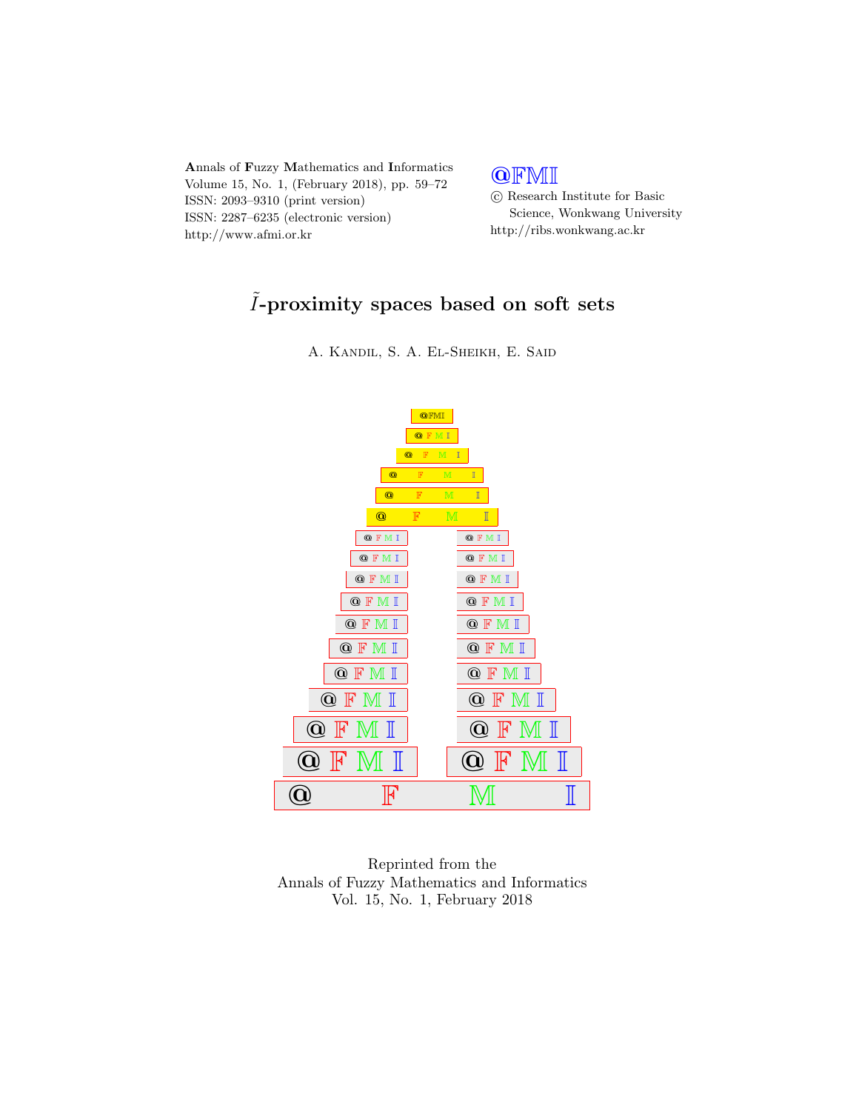

## **QFMI**

 c Research Institute for Basic Science, Wonkwang University http://ribs.wonkwang.ac.kr

# $\tilde{I}\text{-}\mathrm{proximity}$  spaces based on soft sets

A. Kandil, S. A. El-Sheikh, E. Said



Reprinted from the Annals of Fuzzy Mathematics and Informatics Vol. 15, No. 1, February 2018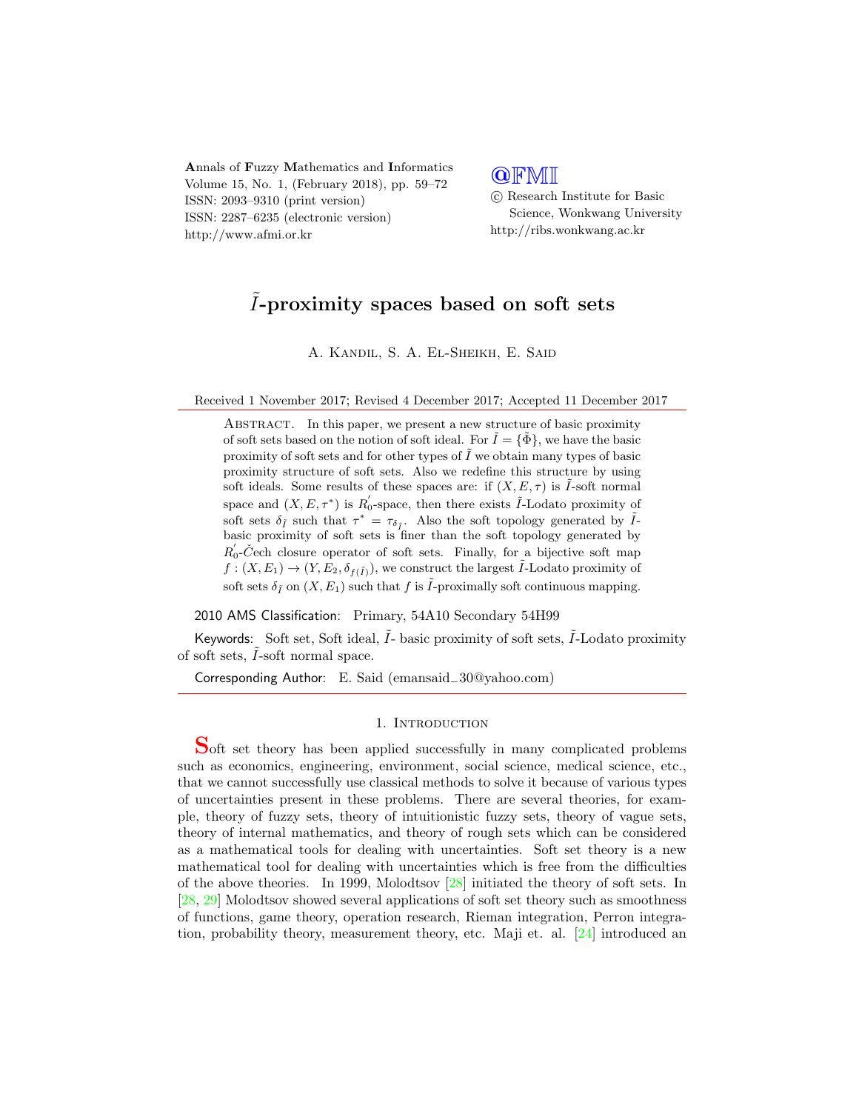Annals of Fuzzy Mathematics and Informatics Volume 15, No. 1, (February 2018), pp. 59–72 ISSN: 2093–9310 (print version) ISSN: 2287–6235 (electronic version) http://www.afmi.or.kr

### **QFMI**

 c Research Institute for Basic Science, Wonkwang University http://ribs.wonkwang.ac.kr

# $\tilde{I}$ -proximity spaces based on soft sets

A. Kandil, S. A. El-Sheikh, E. Said

Received 1 November 2017; Revised 4 December 2017; Accepted 11 December 2017

ABSTRACT. In this paper, we present a new structure of basic proximity of soft sets based on the notion of soft ideal. For  $\tilde{I} = {\tilde{\Phi}}$ , we have the basic proximity of soft sets and for other types of  $\tilde{I}$  we obtain many types of basic proximity structure of soft sets. Also we redefine this structure by using soft ideals. Some results of these spaces are: if  $(X, E, \tau)$  is I-soft normal space and  $(X, E, \tau^*)$  is  $R'_0$ -space, then there exists  $\tilde{I}$ -Lodato proximity of soft sets  $\delta_{\tilde{I}}$  such that  $\tau^* = \tau_{\delta_{\tilde{I}}}$ . Also the soft topology generated by  $\tilde{I}$ basic proximity of soft sets is finer than the soft topology generated by  $R_0'$ -Čech closure operator of soft sets. Finally, for a bijective soft map  $f: (X, E_1) \to (Y, E_2, \delta_{f(\tilde{I})})$ , we construct the largest  $\tilde{I}$ -Lodato proximity of soft sets  $\delta_{\tilde{I}}$  on  $(X, E_1)$  such that f is  $\tilde{I}$ -proximally soft continuous mapping.

2010 AMS Classification: Primary, 54A10 Secondary 54H99

Keywords: Soft set, Soft ideal,  $\hat{I}$ - basic proximity of soft sets,  $\hat{I}$ -Lodato proximity of soft sets,  $\tilde{I}$ -soft normal space.

Corresponding Author: E. Said (emansaid−30@yahoo.com)

#### 1. INTRODUCTION

Soft set theory has been applied successfully in many complicated problems such as economics, engineering, environment, social science, medical science, etc., that we cannot successfully use classical methods to solve it because of various types of uncertainties present in these problems. There are several theories, for example, theory of fuzzy sets, theory of intuitionistic fuzzy sets, theory of vague sets, theory of internal mathematics, and theory of rough sets which can be considered as a mathematical tools for dealing with uncertainties. Soft set theory is a new mathematical tool for dealing with uncertainties which is free from the difficulties of the above theories. In 1999, Molodtsov [\[28\]](#page-13-0) initiated the theory of soft sets. In [\[28,](#page-13-0) [29\]](#page-13-1) Molodtsov showed several applications of soft set theory such as smoothness of functions, game theory, operation research, Rieman integration, Perron integration, probability theory, measurement theory, etc. Maji et. al. [\[24\]](#page-13-2) introduced an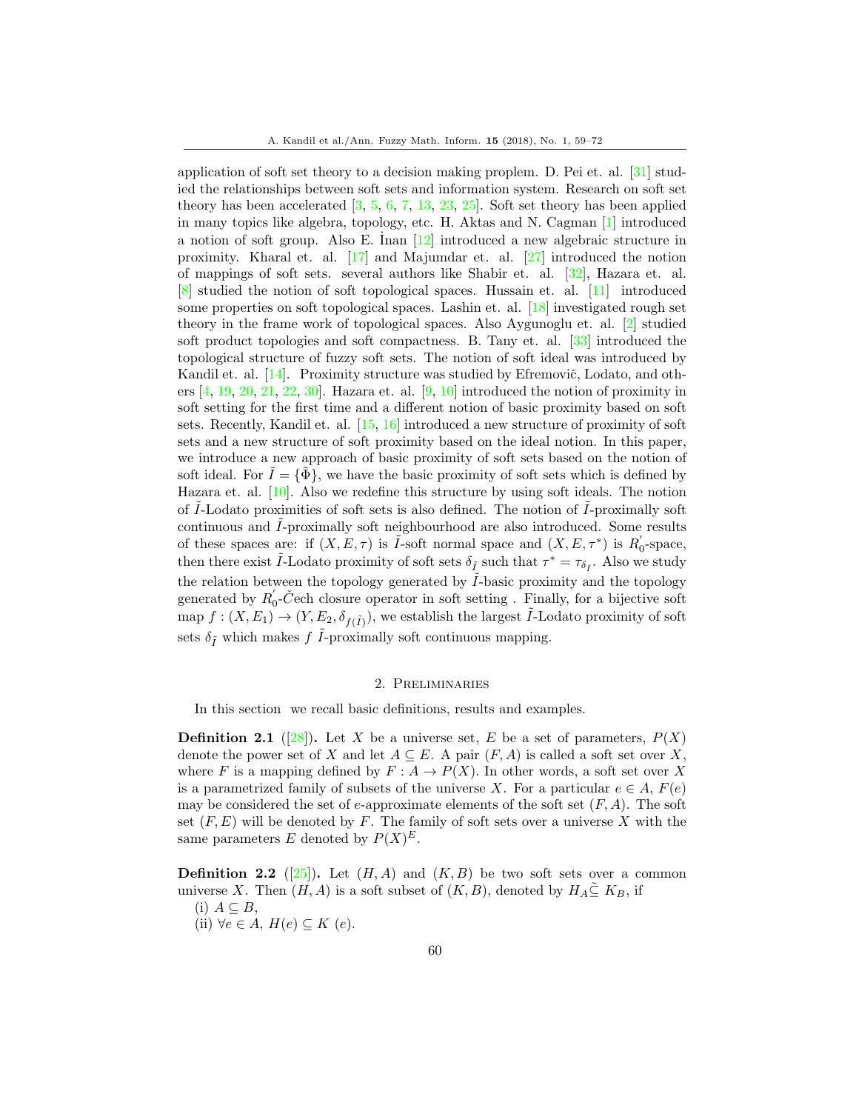application of soft set theory to a decision making proplem. D. Pei et. al. [\[31\]](#page-14-0) studied the relationships between soft sets and information system. Research on soft set theory has been accelerated [\[3,](#page-13-3) [5,](#page-13-4) [6,](#page-13-5) [7,](#page-13-6) [13,](#page-13-7) [23,](#page-13-8) [25\]](#page-13-9). Soft set theory has been applied in many topics like algebra, topology, etc. H. Aktas and N. Cagman [\[1\]](#page-13-10) introduced a notion of soft group. Also E. Inan  $[12]$  introduced a new algebraic structure in proximity. Kharal et. al. [\[17\]](#page-13-12) and Majumdar et. al. [\[27\]](#page-13-13) introduced the notion of mappings of soft sets. several authors like Shabir et. al. [\[32\]](#page-14-1), Hazara et. al. [\[8\]](#page-13-14) studied the notion of soft topological spaces. Hussain et. al. [\[11\]](#page-13-15) introduced some properties on soft topological spaces. Lashin et. al. [\[18\]](#page-13-16) investigated rough set theory in the frame work of topological spaces. Also Aygunoglu et. al. [\[2\]](#page-13-17) studied soft product topologies and soft compactness. B. Tany et. al. [\[33\]](#page-14-2) introduced the topological structure of fuzzy soft sets. The notion of soft ideal was introduced by Kandil et. al.  $[14]$ . Proximity structure was studied by Efremovič, Lodato, and others  $[4, 19, 20, 21, 22, 30]$  $[4, 19, 20, 21, 22, 30]$  $[4, 19, 20, 21, 22, 30]$  $[4, 19, 20, 21, 22, 30]$  $[4, 19, 20, 21, 22, 30]$  $[4, 19, 20, 21, 22, 30]$  $[4, 19, 20, 21, 22, 30]$  $[4, 19, 20, 21, 22, 30]$  $[4, 19, 20, 21, 22, 30]$  $[4, 19, 20, 21, 22, 30]$  $[4, 19, 20, 21, 22, 30]$ . Hazara et. al.  $[9, 10]$  $[9, 10]$  $[9, 10]$  introduced the notion of proximity in soft setting for the first time and a different notion of basic proximity based on soft sets. Recently, Kandil et. al. [\[15,](#page-13-27) [16\]](#page-13-28) introduced a new structure of proximity of soft sets and a new structure of soft proximity based on the ideal notion. In this paper, we introduce a new approach of basic proximity of soft sets based on the notion of soft ideal. For  $I = {\Phi}$ , we have the basic proximity of soft sets which is defined by Hazara et. al. [\[10\]](#page-13-26). Also we redefine this structure by using soft ideals. The notion of  $I$ -Lodato proximities of soft sets is also defined. The notion of  $I$ -proximally soft continuous and I-proximally soft neighbourhood are also introduced. Some results of these spaces are: if  $(X, E, \tau)$  is  $\tilde{I}$ -soft normal space and  $(X, E, \tau^*)$  is  $R'_0$ -space, then there exist  $\tilde{I}$ -Lodato proximity of soft sets  $\delta_{\tilde{I}}$  such that  $\tau^* = \tau_{\delta_{\tilde{I}}}$ . Also we study the relation between the topology generated by  $I$ -basic proximity and the topology generated by  $R'_0$ -Čech closure operator in soft setting . Finally, for a bijective soft map  $f: (X, E_1) \to (Y, E_2, \delta_{f(\tilde{I})})$ , we establish the largest  $\tilde{I}$ -Lodato proximity of soft sets  $\delta_{\tilde I}$  which makes  $f$   $\tilde I\text{-proximally}$  soft continuous mapping.

#### 2. Preliminaries

In this section we recall basic definitions, results and examples.

**Definition 2.1** ([\[28\]](#page-13-0)). Let X be a universe set, E be a set of parameters,  $P(X)$ denote the power set of X and let  $A \subseteq E$ . A pair  $(F, A)$  is called a soft set over X, where F is a mapping defined by  $F: A \to P(X)$ . In other words, a soft set over X is a parametrized family of subsets of the universe X. For a particular  $e \in A$ ,  $F(e)$ may be considered the set of e-approximate elements of the soft set  $(F, A)$ . The soft set  $(F, E)$  will be denoted by F. The family of soft sets over a universe X with the same parameters E denoted by  $P(X)^E$ .

**Definition 2.2** ([\[25\]](#page-13-9)). Let  $(H, A)$  and  $(K, B)$  be two soft sets over a common universe X. Then  $(H, A)$  is a soft subset of  $(K, B)$ , denoted by  $H_A \subseteq K_B$ , if  $(i)$   $A \subseteq B$ ,

- 
- (ii)  $\forall e \in A, H(e) \subseteq K(e)$ .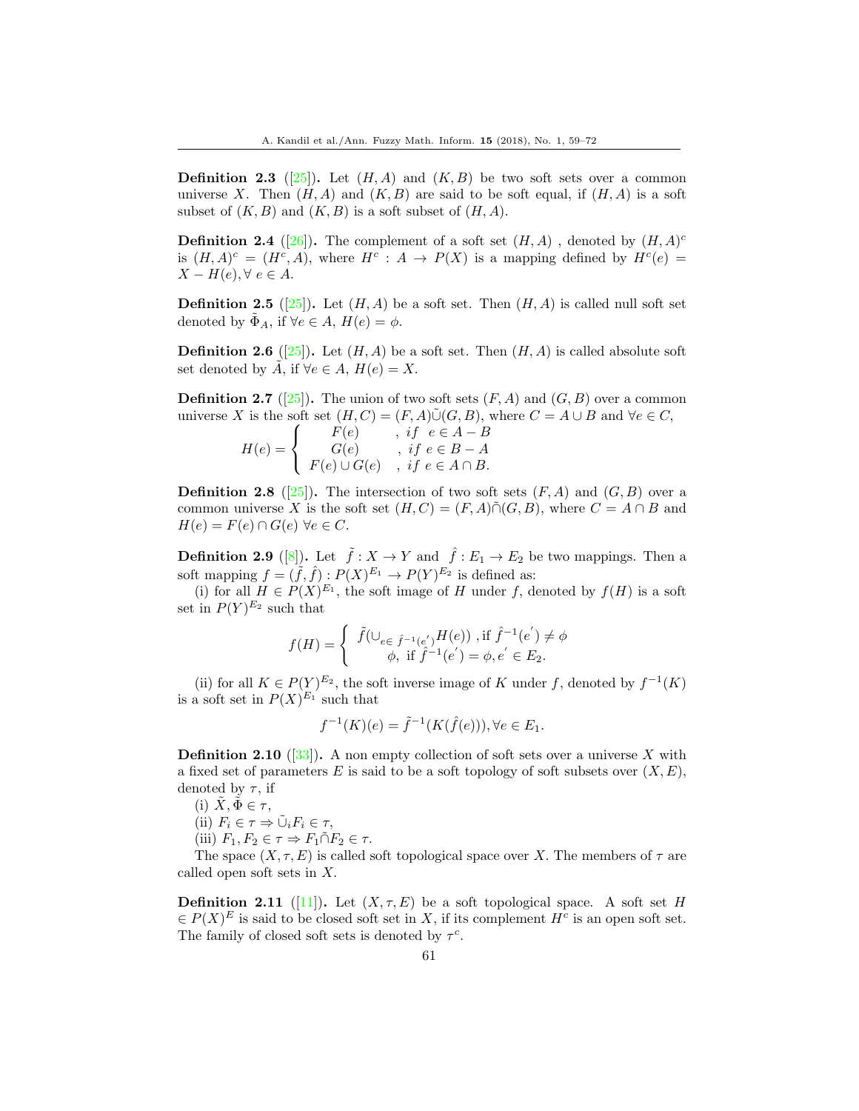**Definition 2.3** ([\[25\]](#page-13-9)). Let  $(H, A)$  and  $(K, B)$  be two soft sets over a common universe X. Then  $(H, A)$  and  $(K, B)$  are said to be soft equal, if  $(H, A)$  is a soft subset of  $(K, B)$  and  $(K, B)$  is a soft subset of  $(H, A)$ .

**Definition 2.4** ([\[26\]](#page-13-29)). The complement of a soft set  $(H, A)$ , denoted by  $(H, A)^c$ is  $(H, A)^c = (H^c, A)$ , where  $H^c : A \to P(X)$  is a mapping defined by  $H^c(e)$  $X - H(e), \forall e \in A.$ 

**Definition 2.5** ([\[25\]](#page-13-9)). Let  $(H, A)$  be a soft set. Then  $(H, A)$  is called null soft set denoted by  $\Phi_A$ , if  $\forall e \in A$ ,  $H(e) = \phi$ .

**Definition 2.6** ([\[25\]](#page-13-9)). Let  $(H, A)$  be a soft set. Then  $(H, A)$  is called absolute soft set denoted by  $\tilde{A}$ , if  $\forall e \in A$ ,  $H(e) = X$ .

**Definition 2.7** ([\[25\]](#page-13-9)). The union of two soft sets  $(F, A)$  and  $(G, B)$  over a common universe X is the soft set  $(H, C) = (F, A)\tilde{\cup}(G, B)$ , where  $C = A \cup B$  and  $\forall e \in C$ ,

$$
H(e) = \begin{cases} F(e) & , if \ e \in A - B \\ G(e) & , if \ e \in B - A \\ F(e) \cup G(e) & , if \ e \in A \cap B. \end{cases}
$$

**Definition 2.8** ([\[25\]](#page-13-9)). The intersection of two soft sets  $(F, A)$  and  $(G, B)$  over a common universe X is the soft set  $(H, C) = (F, A) \tilde{\cap} (G, B)$ , where  $C = A \cap B$  and  $H(e) = F(e) \cap G(e) \,\forall e \in C.$ 

**Definition 2.9** ([\[8\]](#page-13-14)). Let  $\tilde{f}: X \to Y$  and  $\hat{f}: E_1 \to E_2$  be two mappings. Then a soft mapping  $f = (\tilde{f}, \hat{f}) : P(X)^{E_1} \to P(Y)^{E_2}$  is defined as:

(i) for all  $H \in P(X)^{E_1}$ , the soft image of H under f, denoted by  $f(H)$  is a soft set in  $P(Y)^{E_2}$  such that

$$
f(H) = \begin{cases} \tilde{f}(\bigcup_{e \in \hat{f}^{-1}(e')} H(e)), & \text{if } \hat{f}^{-1}(e') \neq \phi \\ \phi, & \text{if } \hat{f}^{-1}(e') = \phi, e' \in E_2. \end{cases}
$$

(ii) for all  $K \in P(Y)^{E_2}$ , the soft inverse image of K under f, denoted by  $f^{-1}(K)$ is a soft set in  $P(X)^{E_1}$  such that

$$
f^{-1}(K)(e) = \tilde{f}^{-1}(K(\hat{f}(e))), \forall e \in E_1.
$$

**Definition 2.10** ([\[33\]](#page-14-2)). A non empty collection of soft sets over a universe X with a fixed set of parameters E is said to be a soft topology of soft subsets over  $(X, E)$ , denoted by  $\tau$ , if

(i)  $\tilde{X}, \tilde{\Phi} \in \tau$ ,

- (ii)  $F_i \in \tau \Rightarrow \tilde{\cup}_i F_i \in \tau$ ,
- (iii)  $F_1, F_2 \in \tau \Rightarrow F_1 \cap F_2 \in \tau$ .

The space  $(X, \tau, E)$  is called soft topological space over X. The members of  $\tau$  are called open soft sets in X.

**Definition 2.11** ([\[11\]](#page-13-15)). Let  $(X, \tau, E)$  be a soft topological space. A soft set H  $\in P(X)^E$  is said to be closed soft set in X, if its complement  $H^c$  is an open soft set. The family of closed soft sets is denoted by  $\tau^c$ .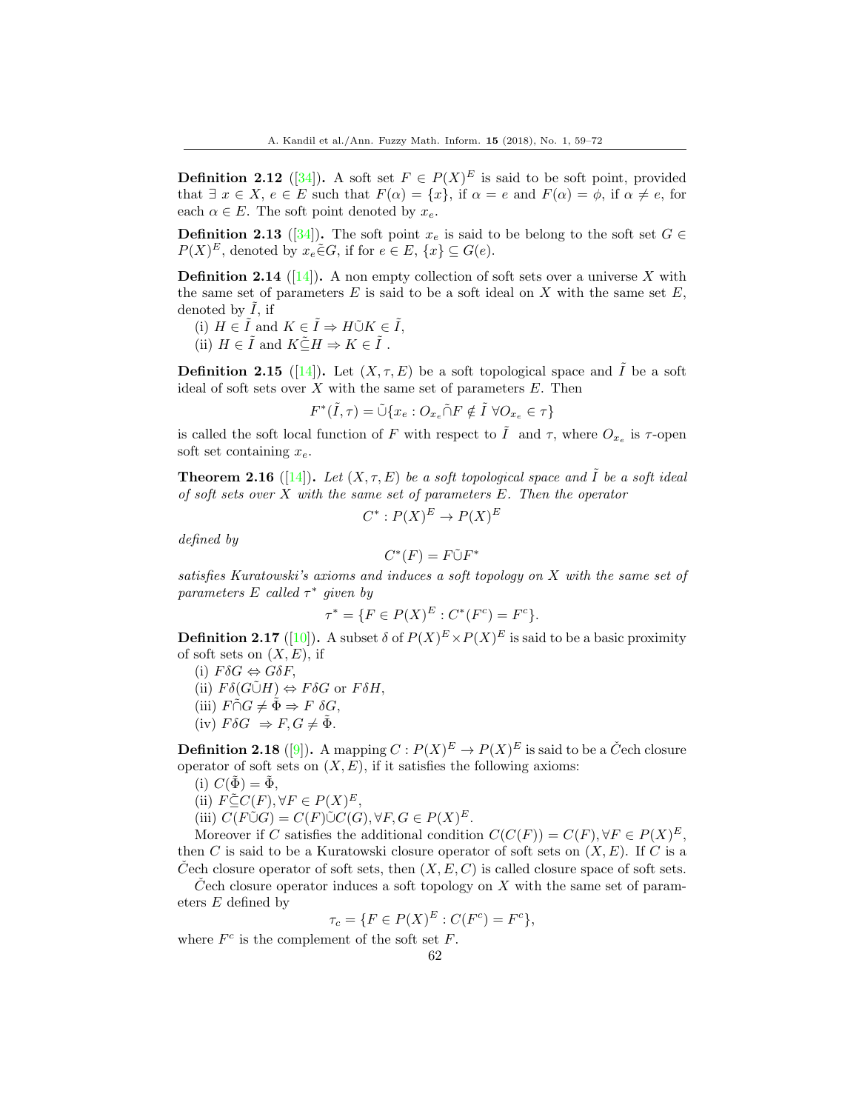**Definition 2.12** ([\[34\]](#page-14-3)). A soft set  $F \in P(X)^E$  is said to be soft point, provided that  $\exists x \in X, e \in E$  such that  $F(\alpha) = \{x\}$ , if  $\alpha = e$  and  $F(\alpha) = \phi$ , if  $\alpha \neq e$ , for each  $\alpha \in E$ . The soft point denoted by  $x_e$ .

**Definition 2.13** ([\[34\]](#page-14-3)). The soft point  $x_e$  is said to be belong to the soft set  $G \in$  $P(X)^E$ , denoted by  $x_e \in G$ , if for  $e \in E$ ,  $\{x\} \subseteq G(e)$ .

**Definition 2.14** ([\[14\]](#page-13-18)). A non empty collection of soft sets over a universe X with the same set of parameters  $E$  is said to be a soft ideal on  $X$  with the same set  $E$ , denoted by  $I$ , if

- (i)  $H \in \tilde{I}$  and  $K \in \tilde{I} \Rightarrow H\tilde{\cup}K \in \tilde{I}$ ,
- (ii)  $H \in \tilde{I}$  and  $K \tilde{\subset} H \Rightarrow K \in \tilde{I}$ .

**Definition 2.15** ([\[14\]](#page-13-18)). Let  $(X, \tau, E)$  be a soft topological space and  $\tilde{I}$  be a soft ideal of soft sets over  $X$  with the same set of parameters  $E$ . Then

$$
F^*(\tilde{I},\tau)=\tilde{\cup}\{x_e:O_{x_e}\tilde{\cap}F\notin \tilde{I}\ \forall O_{x_e}\in \tau\}
$$

is called the soft local function of F with respect to  $\tilde{I}$  and  $\tau$ , where  $O_{x_e}$  is  $\tau$ -open soft set containing  $x_e$ .

**Theorem 2.16** ([\[14\]](#page-13-18)). Let  $(X, \tau, E)$  be a soft topological space and  $\tilde{I}$  be a soft ideal of soft sets over  $X$  with the same set of parameters  $E$ . Then the operator

$$
C^*: P(X)^E \to P(X)^E
$$

defined by

$$
C^*(F) = F \tilde{\cup} F^*
$$

satisfies Kuratowski's axioms and induces a soft topology on X with the same set of parameters  $E$  called  $\tau^*$  given by

$$
\tau^* = \{ F \in P(X)^E : C^*(F^c) = F^c \}.
$$

**Definition 2.17** ([\[10\]](#page-13-26)). A subset  $\delta$  of  $P(X)^E \times P(X)^E$  is said to be a basic proximity of soft sets on  $(X, E)$ , if

(i)  $F\delta G \Leftrightarrow G\delta F$ , (ii)  $F\delta(G\tilde{\cup}H) \Leftrightarrow F\delta G$  or  $F\delta H$ , (iii)  $F \tilde{\cap} G \neq \tilde{\Phi} \Rightarrow F \delta G$ , (iv)  $F \delta G \Rightarrow F, G \neq \tilde{\Phi}$ .

**Definition 2.18** ([\[9\]](#page-13-25)). A mapping  $C: P(X)^E \to P(X)^E$  is said to be a Čech closure operator of soft sets on  $(X, E)$ , if it satisfies the following axioms:

(i)  $C(\Phi) = \Phi$ ,

(ii) 
$$
F \subseteq C(F), \forall F \in P(X)^E
$$
,

(iii) 
$$
C(F\tilde{\cup}G) = C(F)\tilde{\cup}C(G), \forall F, G \in P(X)^{E}
$$
.

Moreover if C satisfies the additional condition  $C(C(F)) = C(F), \forall F \in P(X)^E$ , then C is said to be a Kuratowski closure operator of soft sets on  $(X, E)$ . If C is a Cech closure operator of soft sets, then  $(X, E, C)$  is called closure space of soft sets.

 $\check{C}$ ech closure operator induces a soft topology on X with the same set of parameters E defined by

$$
\tau_c = \{ F \in P(X)^E : C(F^c) = F^c \},
$$

where  $F^c$  is the complement of the soft set  $F$ .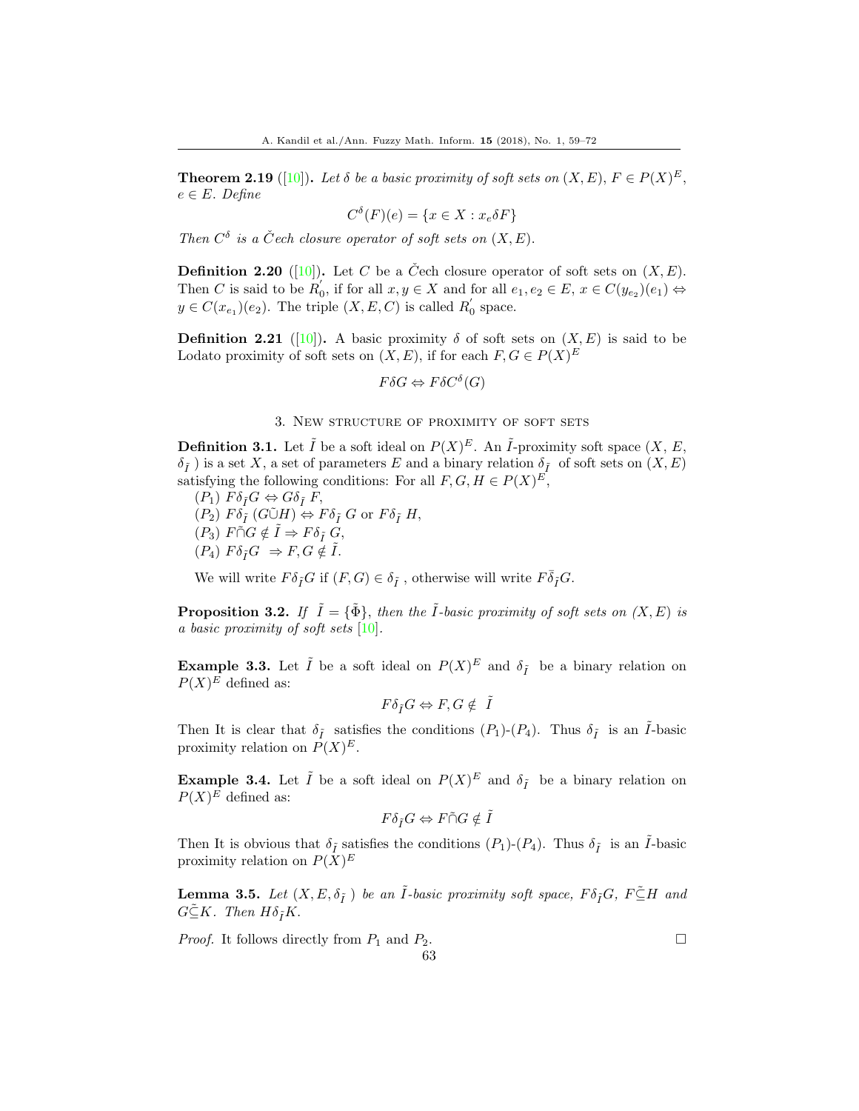**Theorem 2.19** ([\[10\]](#page-13-26)). Let  $\delta$  be a basic proximity of soft sets on  $(X, E), F \in P(X)^E$ ,  $e \in E$ . Define

$$
C^{\delta}(F)(e) = \{x \in X : x_e \delta F\}
$$

Then  $C^{\delta}$  is a Čech closure operator of soft sets on  $(X, E)$ .

**Definition 2.20** ([\[10\]](#page-13-26)). Let C be a C<sup> $\check{C}$ </sup>ech closure operator of soft sets on  $(X, E)$ . Then C is said to be  $R'_0$ , if for all  $x, y \in X$  and for all  $e_1, e_2 \in E$ ,  $x \in C(y_{e_2})(e_1) \Leftrightarrow$  $y \in C(x_{e_1})(e_2)$ . The triple  $(X, E, C)$  is called  $R'_0$  space.

**Definition 2.21** ([\[10\]](#page-13-26)). A basic proximity  $\delta$  of soft sets on  $(X, E)$  is said to be Lodato proximity of soft sets on  $(X, E)$ , if for each  $F, G \in P(X)^E$ 

$$
F\delta G \Leftrightarrow F\delta C^{\delta}(G)
$$

#### 3. New structure of proximity of soft sets

**Definition 3.1.** Let  $\tilde{I}$  be a soft ideal on  $P(X)^E$ . An  $\tilde{I}$ -proximity soft space  $(X, E, E)$  $\delta_{\tilde{I}}$ ) is a set X, a set of parameters E and a binary relation  $\delta_{\tilde{I}}$  of soft sets on  $(X, E)$ satisfying the following conditions: For all  $F, G, H \in P(X)^E$ ,

 $(P_1)$   $F \delta_{\tilde{I}} G \Leftrightarrow G \delta_{\tilde{I}} F$ ,  $(P_2) F \delta_{\tilde{I}} (G \tilde{\cup} H) \Leftrightarrow F \delta_{\tilde{I}} G$  or  $F \delta_{\tilde{I}} H$ ,  $(P_3)$   $F \cap G \notin \tilde{I} \Rightarrow F \delta_{\tilde{I}} G$ ,  $(P_4)$   $F \delta_{\tilde{I}} G \Rightarrow F, G \notin \tilde{I}$ .

We will write  $F \delta_{\tilde{I}} G$  if  $(F,G) \in \delta_{\tilde{I}}$  , otherwise will write  $F \bar{\delta}_{\tilde{I}} G.$ 

**Proposition 3.2.** If  $\tilde{I} = {\tilde{\Phi}}$ , then the  $\tilde{I}$ -basic proximity of soft sets on  $(X, E)$  is a basic proximity of soft sets  $[10]$ .

**Example 3.3.** Let  $\tilde{I}$  be a soft ideal on  $P(X)^E$  and  $\delta_{\tilde{I}}$  be a binary relation on  $P(X)^E$  defined as:

$$
F\delta_{\tilde I}G \Leftrightarrow F,G \notin \ \tilde I
$$

Then It is clear that  $\delta_{\tilde{I}}$  satisfies the conditions  $(P_1)-(P_4)$ . Thus  $\delta_{\tilde{I}}$  is an  $\tilde{I}$ -basic proximity relation on  $P(X)^E$ .

**Example 3.4.** Let  $\tilde{I}$  be a soft ideal on  $P(X)^E$  and  $\delta_{\tilde{I}}$  be a binary relation on  $P(X)^E$  defined as:

$$
F\delta_{\tilde I}G \Leftrightarrow F\tilde{\cap} G\notin \tilde I
$$

Then It is obvious that  $\delta_{\tilde{I}}$  satisfies the conditions  $(P_1)-(P_4)$ . Thus  $\delta_{\tilde{I}}$  is an  $\tilde{I}$ -basic proximity relation on  $P(X)^E$ 

**Lemma 3.5.** Let  $(X, E, \delta_{\tilde{I}})$  be an  $\tilde{I}$ -basic proximity soft space,  $F \delta_{\tilde{I}} G$ ,  $F \tilde{\subseteq} H$  and  $G\tilde{\subseteq}K$ . Then  $H\delta_{\tilde{I}}K$ .

*Proof.* It follows directly from  $P_1$  and  $P_2$ . 63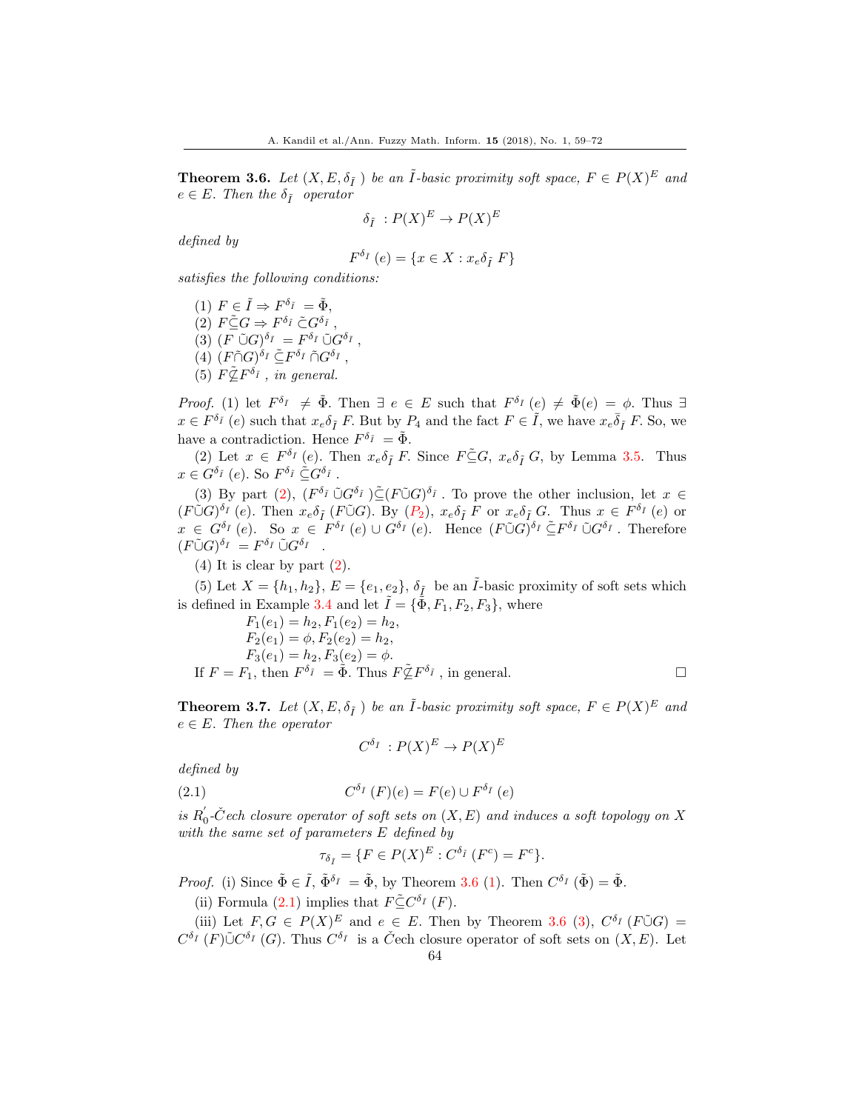**Theorem 3.6.** Let  $(X, E, \delta_{\tilde{I}})$  be an  $\tilde{I}$ -basic proximity soft space,  $F \in P(X)^E$  and  $e \in E$ . Then the  $\delta_{\tilde{I}}$  operator

$$
\delta_{\tilde{I}}: P(X)^{E} \to P(X)^{E}
$$

defined by

$$
F^{\delta_{\tilde{I}}}(e) = \{ x \in X : x_e \delta_{\tilde{I}} F \}
$$

satisfies the following conditions:

(1)  $F \in \tilde{I} \Rightarrow F^{\delta_{\tilde{I}}} = \tilde{\Phi},$ (2)  $F \tilde{\subseteq} G \Rightarrow F^{\delta_{\tilde{I}}} \tilde{\subset} G^{\delta_{\tilde{I}}}$ , (3)  $(F \tilde{\cup} G)^{\delta_{\tilde{I}}} = F^{\delta_{\tilde{I}}} \tilde{\cup} G^{\delta_{\tilde{I}}}$ , (4)  $(F \tilde{\cap} G)^{\delta_{\tilde{I}}} \tilde{\subseteq} F^{\delta_{\tilde{I}}} \tilde{\cap} G^{\delta_{\tilde{I}}}$ , (5)  $F \tilde{\&} F^{\delta_{\tilde{I}}}$ , in general.

*Proof.* (1) let  $F^{\delta_{\bar{I}}} \neq \tilde{\Phi}$ . Then  $\exists e \in E$  such that  $F^{\delta_{\bar{I}}}(e) \neq \tilde{\Phi}(e) = \phi$ . Thus  $\exists$  $x \in F^{\delta_{\bar{I}}}(e)$  such that  $x_e \delta_{\tilde{I}} F$ . But by  $P_4$  and the fact  $F \in \tilde{I}$ , we have  $x_e \overline{\delta}_{\tilde{I}} F$ . So, we have a contradiction. Hence  $F^{\delta_{\tilde{I}}} = \tilde{\Phi}$ .

(2) Let  $x \in F^{\delta_I}(e)$ . Then  $x_e \delta_{\tilde{I}} F$ . Since  $F \subseteq G$ ,  $x_e \delta_{\tilde{I}} G$ , by Lemma 3.5. Thus  $x \in G^{\delta_{\tilde{I}}}(e)$ . So  $F^{\delta_{\tilde{I}}} \subseteq G^{\delta_{\tilde{I}}}$ .

(3) By part (2),  $(F^{\delta_{\tilde{I}}} \tilde{\cup} G^{\delta_{\tilde{I}}} ) \tilde{\subseteq} (F \tilde{\cup} G)^{\delta_{\tilde{I}}}$ . To prove the other inclusion, let  $x \in$  $(F\tilde{\cup} G)^{\delta_{\tilde{I}}}(e)$ . Then  $x_e\delta_{\tilde{I}}(F\tilde{\cup} G)$ . By  $(P_2)$ ,  $x_e\delta_{\tilde{I}}F$  or  $x_e\delta_{\tilde{I}}G$ . Thus  $x \in F^{\delta_{\tilde{I}}}(e)$  or  $x \in G^{\delta_{\tilde{I}}}(e)$ . So  $x \in F^{\delta_{\tilde{I}}}(e) \cup G^{\delta_{\tilde{I}}}(e)$ . Hence  $(F\tilde{\cup}G)^{\delta_{\tilde{I}}} \subseteq F^{\delta_{\tilde{I}}} \tilde{\cup} G^{\delta_{\tilde{I}}}$ . Therefore  $(F\tilde{\cup} G)^{\delta_{\tilde{I}}} = F^{\delta_{\tilde{I}}} \tilde{\cup} G^{\delta_{\tilde{I}}}$ .

(4) It is clear by part (2).

(5) Let  $X = \{h_1, h_2\}$ ,  $E = \{e_1, e_2\}$ ,  $\delta_{\tilde{I}}$  be an  $\tilde{I}$ -basic proximity of soft sets which is defined in Example 3.4 and let  $\tilde{I} = {\tilde{\Phi}, F_1, F_2, F_3}$ , where

$$
F_1(e_1) = h_2, F_1(e_2) = h_2,
$$
  
\n
$$
F_2(e_1) = \phi, F_2(e_2) = h_2,
$$
  
\n
$$
F_3(e_1) = h_2, F_3(e_2) = \phi.
$$
  
\nIf  $F = F_1$ , then  $F^{\delta_{\tilde{I}}} = \tilde{\Phi}$ . Thus  $F \tilde{\mathbb{Z}} F^{\delta_{\tilde{I}}}$ , in general.

**Theorem 3.7.** Let  $(X, E, \delta_{\tilde{I}})$  be an  $\tilde{I}$ -basic proximity soft space,  $F \in P(X)^E$  and  $e \in E$ . Then the operator

$$
C^{\delta_{\tilde{I}}} : P(X)^{E} \to P(X)^{E}
$$

defined by

(2.1) 
$$
C^{\delta_{\tilde{I}}}(F)(e) = F(e) \cup F^{\delta_{\tilde{I}}}(e)
$$

is  $R'_0$ -Čech closure operator of soft sets on  $(X, E)$  and induces a soft topology on X with the same set of parameters E defined by

$$
\tau_{\delta_{\tilde{I}}} = \{ F \in P(X)^E : C^{\delta_{\tilde{I}}} (F^c) = F^c \}.
$$

*Proof.* (i) Since  $\tilde{\Phi} \in \tilde{I}$ ,  $\tilde{\Phi}^{\delta_{\tilde{I}}} = \tilde{\Phi}$ , by Theorem 3.6 (1). Then  $C^{\delta_{\tilde{I}}}(\tilde{\Phi}) = \tilde{\Phi}$ .

(ii) Formula (2.1) implies that  $F\tilde{\subseteq}C^{\delta_{\tilde{I}}}(F)$ .

(iii) Let  $F, G \in P(X)^E$  and  $e \in E$ . Then by Theorem 3.6 (3),  $C^{\delta_{\tilde{I}}}(F\tilde{\cup}G)$  =  $C^{\delta_{\tilde{I}}}(F)\tilde{\cup}C^{\delta_{\tilde{I}}}(G)$ . Thus  $C^{\delta_{\tilde{I}}}$  is a C<sup>o</sup>ech closure operator of soft sets on  $(X, E)$ . Let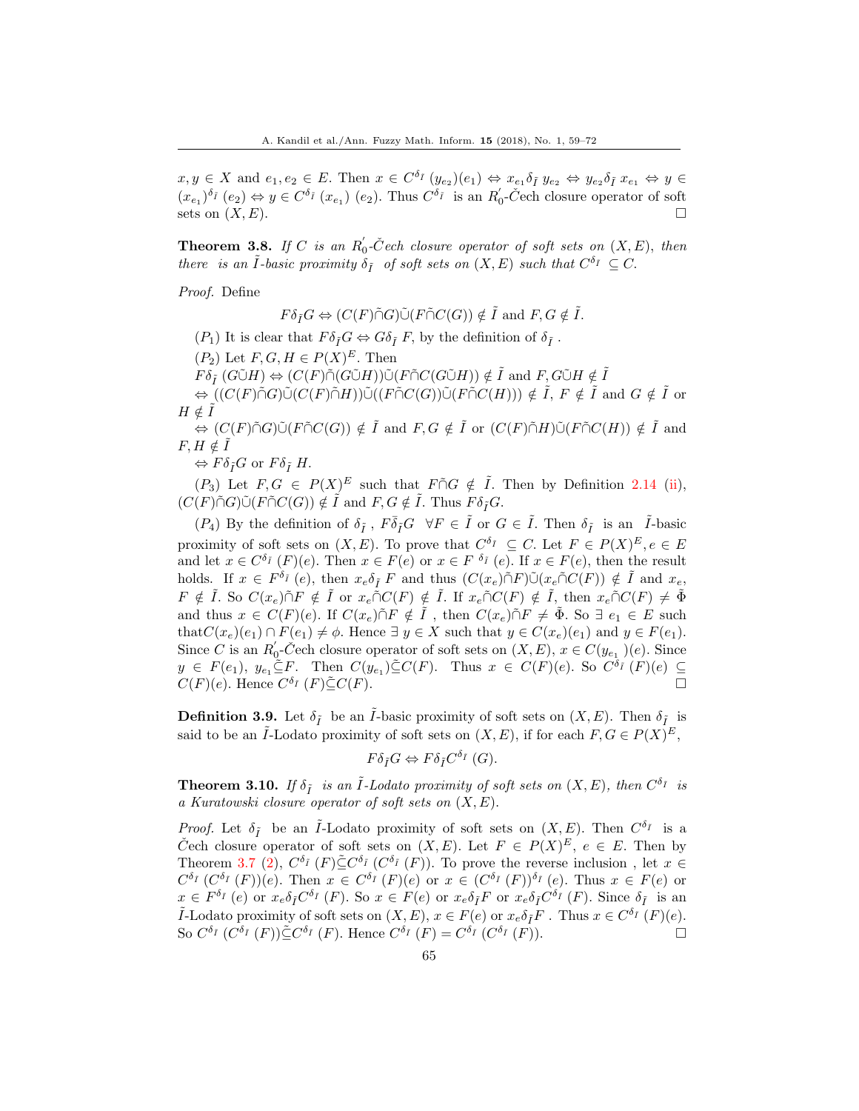$x, y \in X$  and  $e_1, e_2 \in E$ . Then  $x \in C^{\delta_{\tilde{I}}}(y_{e_2})(e_1) \Leftrightarrow x_{e_1} \delta_{\tilde{I}} y_{e_2} \Leftrightarrow y_{e_2} \delta_{\tilde{I}} x_{e_1} \Leftrightarrow y \in$  $(x_{e_1})^{\delta_{\tilde{I}}}(e_2) \Leftrightarrow y \in C^{\delta_{\tilde{I}}}(x_{e_1})$   $(e_2)$ . Thus  $C^{\delta_{\tilde{I}}}$  is an  $R'_0$ -Čech closure operator of soft sets on  $(X, E)$ .

**Theorem 3.8.** If C is an  $R'_0$ -C<sup> $\check{C}$ </sup>ech closure operator of soft sets on  $(X, E)$ , then there is an  $\tilde{I}$ -basic proximity  $\delta_{\tilde{I}}$  of soft sets on  $(X, E)$  such that  $C^{\delta_{\tilde{I}}} \subseteq C$ .

Proof. Define

 $F\delta_{\tilde{I}}G \Leftrightarrow (C(F)\tilde{\cap}G)\tilde{\cup}(F\tilde{\cap}C(G)) \notin \tilde{I}$  and  $F, G \notin \tilde{I}$ .

 $(P_1)$  It is clear that  $F \delta_{\tilde{I}} G \Leftrightarrow G \delta_{\tilde{I}} F$ , by the definition of  $\delta_{\tilde{I}}$ .

 $(P_2)$  Let  $F, G, H \in P(X)^E$ . Then

 $F\delta_{\tilde{I}}(G\tilde{\cup}H) \Leftrightarrow (C(F)\tilde{\cap}(G\tilde{\cup}H))\tilde{\cup}(F\tilde{\cap}C(G\tilde{\cup}H)) \notin \tilde{I}$  and  $F,G\tilde{\cup}H \notin \tilde{I}$ 

 $\Leftrightarrow ((C(F)\tilde{\cap}G)\tilde{\cup}((C(F)\tilde{\cap}H))\tilde{\cup}((F\tilde{\cap}C(G))\tilde{\cup}(F\tilde{\cap}C(H))) \notin \tilde{I}, F \notin \tilde{I} \text{ and } G \notin \tilde{I}$  or  $H \notin \tilde{I}$ 

 $\Leftrightarrow (C(F) \tilde{\cap} G) \tilde{\cup} (F \tilde{\cap} C(G)) \notin \tilde{I}$  and  $F, G \notin \tilde{I}$  or  $(C(F) \tilde{\cap} H) \tilde{\cup} (F \tilde{\cap} C(H)) \notin \tilde{I}$  and  $F, H \notin \tilde{I}$ 

 $\Leftrightarrow F\delta_{\tilde{I}}G$  or  $F\delta_{\tilde{I}}H$ .

 $(P_3)$  Let  $F, G \in P(X)^E$  such that  $F \cap G \notin \tilde{I}$ . Then by Definition 2.14 (ii),  $(C(F)\tilde{\cap}G)\tilde{\cup} (F\tilde{\cap}C(G)) \notin \tilde{I}$  and  $F, G \notin \tilde{I}$ . Thus  $F \delta_{\tilde{I}}G$ .

 $(P_4)$  By the definition of  $\delta_{\tilde{I}}$ ,  $F \overline{\delta}_{\tilde{I}} G \ \forall F \in \tilde{I}$  or  $G \in \tilde{I}$ . Then  $\delta_{\tilde{I}}$  is an  $\tilde{I}$ -basic proximity of soft sets on  $(X, E)$ . To prove that  $C^{\delta_{\tilde{I}}} \subseteq C$ . Let  $F \in P(X)^{E}$ ,  $e \in E$ and let  $x \in C^{\delta_{\tilde{I}}}(F)(e)$ . Then  $x \in F(e)$  or  $x \in F^{\delta_{\tilde{I}}}(e)$ . If  $x \in F(e)$ , then the result holds. If  $x \in F^{\delta_{\tilde{I}}}(e)$ , then  $x_e \delta_{\tilde{I}} F$  and thus  $(C(x_e) \tilde{\cap} F) \tilde{\cup} (x_e \tilde{\cap} C(F)) \notin \tilde{I}$  and  $x_e$ ,  $F \notin \tilde{I}$ . So  $C(x_e) \tilde{\cap} F \notin \tilde{I}$  or  $x_e \tilde{\cap} C(F) \notin \tilde{I}$ . If  $x_e \tilde{\cap} C(F) \notin \tilde{I}$ , then  $x_e \tilde{\cap} C(F) \neq \tilde{\Phi}$ and thus  $x \in C(F)(e)$ . If  $C(x_e) \tilde{\cap} F \notin \tilde{I}$ , then  $C(x_e) \tilde{\cap} F \neq \tilde{\Phi}$ . So  $\exists e_1 \in E$  such that  $C(x_e)(e_1) \cap F(e_1) \neq \emptyset$ . Hence  $\exists y \in X$  such that  $y \in C(x_e)(e_1)$  and  $y \in F(e_1)$ . Since C is an  $R'_0$ -Čech closure operator of soft sets on  $(X, E)$ ,  $x \in C(y_{e_1})$  $(e)$ . Since  $y \in F(e_1), y_{e_1} \subseteq F$ . Then  $C(y_{e_1}) \subseteq C(F)$ . Thus  $x \in C(F)(e)$ . So  $C^{\delta_{\tilde{I}}}(F)(e) \subseteq$  $C(F)(e)$ . Hence  $C^{\delta_{\tilde{I}}}$   $(F) \tilde{\subseteq} C(F)$ .

**Definition 3.9.** Let  $\delta_{\tilde{I}}$  be an  $\tilde{I}$ -basic proximity of soft sets on  $(X, E)$ . Then  $\delta_{\tilde{I}}$  is said to be an  $\tilde{I}$ -Lodato proximity of soft sets on  $(X, E)$ , if for each  $F, G \in P(X)^E$ ,

$$
F\delta_{\tilde{I}}G \Leftrightarrow F\delta_{\tilde{I}}C^{\delta_{\tilde{I}}}(G).
$$

**Theorem 3.10.** If  $\delta_{\tilde{I}}$  is an  $\tilde{I}$ -Lodato proximity of soft sets on  $(X, E)$ , then  $C^{\delta_{\tilde{I}}}$  is a Kuratowski closure operator of soft sets on  $(X, E)$ .

*Proof.* Let  $\delta_{\tilde{I}}$  be an  $\tilde{I}$ -Lodato proximity of soft sets on  $(X, E)$ . Then  $C^{\delta_{\tilde{I}}}$  is a C<sup>o</sup>ech closure operator of soft sets on  $(X, E)$ . Let  $F \in P(X)^E$ ,  $e \in E$ . Then by Theorem 3.7 (2),  $C^{\delta_{\bar{I}}}$  (F) $\tilde{\subseteq} C^{\delta_{\bar{I}}}$  ( $C^{\delta_{\bar{I}}}$  (F)). To prove the reverse inclusion, let  $x \in$  $C^{\delta_{\tilde{I}}}(C^{\delta_{\tilde{I}}}(F))(e)$ . Then  $x \in C^{\delta_{\tilde{I}}}(F)(e)$  or  $x \in (C^{\delta_{\tilde{I}}}(F))^{\delta_{\tilde{I}}}(e)$ . Thus  $x \in F(e)$  or  $x \in F^{\delta_{\tilde{I}}}$  (e) or  $x_e \delta_{\tilde{I}} C^{\delta_{\tilde{I}}}$  (*F*). So  $x \in F(e)$  or  $x_e \delta_{\tilde{I}} F$  or  $x_e \delta_{\tilde{I}} C^{\delta_{\tilde{I}}}$  (*F*). Since  $\delta_{\tilde{I}}$  is an *I*-Lodato proximity of soft sets on  $(X, E)$ ,  $x \in F(e)$  or  $x_e \delta_{\tilde{I}} F$ . Thus  $x \in C^{\delta_{\tilde{I}}}(F)(e)$ . So  $C^{\delta_{\tilde{I}}}$   $(C^{\delta_{\tilde{I}}}(F))\tilde{\subseteq} C^{\delta_{\tilde{I}}}(F)$ . Hence  $C^{\delta_{\tilde{I}}}(F) = C^{\delta_{\tilde{I}}}(C^{\delta_{\tilde{I}}}(F))$ .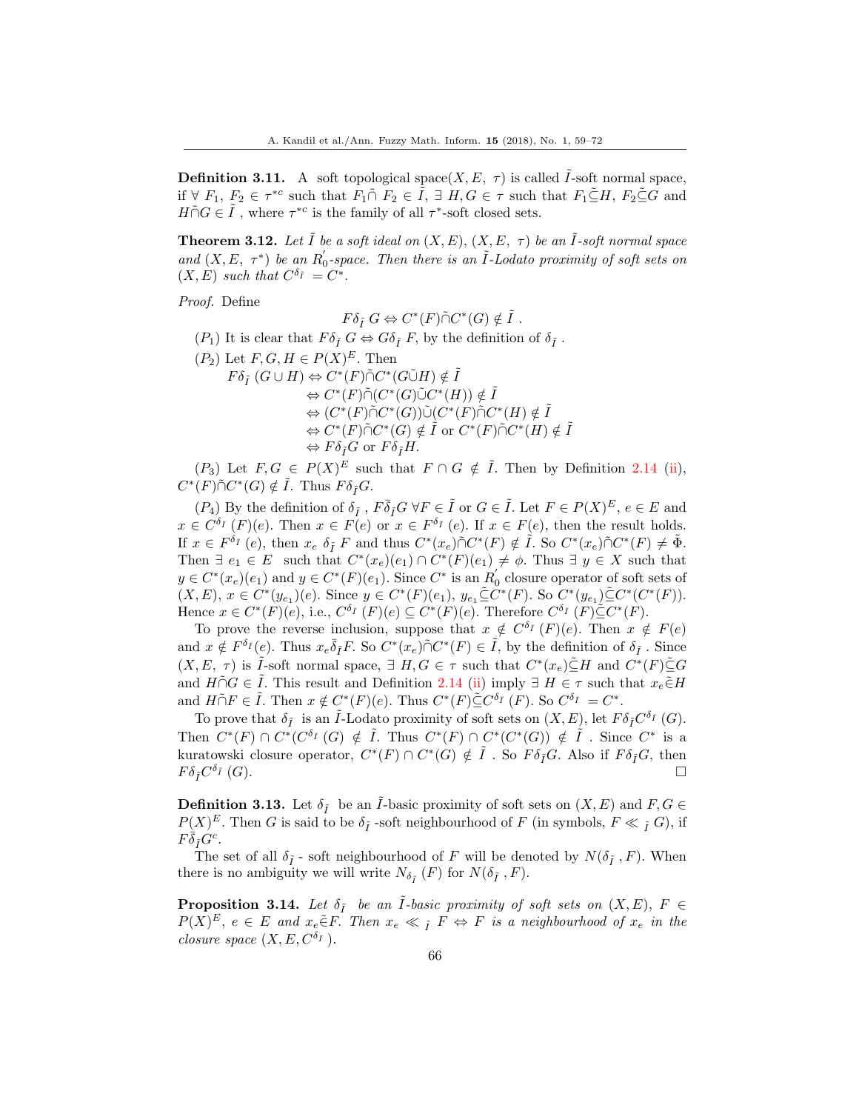**Definition 3.11.** A soft topological space(X, E,  $\tau$ ) is called  $\tilde{I}$ -soft normal space, if  $\forall F_1, F_2 \in \tau^{*c}$  such that  $F_1 \cap F_2 \in \tilde{I}$ ,  $\exists H, G \in \tau$  such that  $F_1 \subseteq H$ ,  $F_2 \subseteq G$  and  $H\tilde{\cap} G \in \tilde{I}$ , where  $\tau^{*c}$  is the family of all  $\tau^*$ -soft closed sets.

**Theorem 3.12.** Let  $\tilde{I}$  be a soft ideal on  $(X, E), (X, E, \tau)$  be an  $\tilde{I}$ -soft normal space and  $(X, E, \tau^*)$  be an  $R_0'$ -space. Then there is an  $\tilde{I}$ -Lodato proximity of soft sets on  $(X, E)$  such that  $C^{\delta_{\tilde{I}}} = C^*$ .

Proof. Define

$$
F\delta_{\tilde{I}} G \Leftrightarrow C^*(F)\tilde{\cap} C^*(G) \notin \tilde{I} .
$$

- $(P_1)$  It is clear that  $F \delta_{\tilde{I}} G \Leftrightarrow G \delta_{\tilde{I}} F$ , by the definition of  $\delta_{\tilde{I}}$ .
- $(P_2)$  Let  $F, G, H \in P(X)^E$ . Then
	- $F\delta_{\tilde{I}}(G\cup H)\Leftrightarrow C^*(F)\tilde{\cap}C^*(G\tilde{\cup}H)\notin\tilde{I}$  $\Leftrightarrow C^*(F) \tilde{\cap} (C^*(G) \tilde{\cup} C^*(H)) \notin \tilde{I}$  $\Leftrightarrow (C^*(F)\tilde{\cap}C^*(G))\tilde{\cup}(C^*(F)\tilde{\cap}C^*(H)\notin\tilde{I})$  $\Leftrightarrow C^*(F) \tilde{\cap} C^*(G) \notin \tilde{I}$  or  $C^*(F) \tilde{\cap} C^*(H) \notin \tilde{I}$  $\Leftrightarrow F\delta_{\tilde{I}}G$  or  $F\delta_{\tilde{I}}H$ .

 $(P_3)$  Let  $F, G \in P(X)^E$  such that  $F \cap G \notin \tilde{I}$ . Then by Definition 2.14 (ii),  $C^*(F) \tilde{\cap} C^*(G) \notin \tilde{I}$ . Thus  $F \delta_{\tilde{I}} G$ .

 $(P_4)$  By the definition of  $\delta_{\tilde{I}}$ ,  $F \bar{\delta}_{\tilde{I}} G \forall F \in \tilde{I}$  or  $G \in \tilde{I}$ . Let  $F \in P(X)^E$ ,  $e \in E$  and  $x \in C^{\delta_{\tilde{I}}}(F)(e)$ . Then  $x \in F(e)$  or  $x \in F^{\delta_{\tilde{I}}}(e)$ . If  $x \in F(e)$ , then the result holds. If  $x \in F^{\delta_{\tilde{I}}}(e)$ , then  $x_e \delta_{\tilde{I}} F$  and thus  $C^*(x_e) \tilde{\cap} C^*(F) \notin \tilde{I}$ . So  $C^*(x_e) \tilde{\cap} C^*(F) \neq \tilde{\Phi}$ . Then  $\exists e_1 \in E$  such that  $C^*(x_e)(e_1) \cap C^*(F)(e_1) \neq \emptyset$ . Thus  $\exists y \in X$  such that  $y \in C^*(x_e)(e_1)$  and  $y \in C^*(F)(e_1)$ . Since  $C^*$  is an  $R'_0$  closure operator of soft sets of  $(X, E), x \in C^*(y_{e_1})(e)$ . Since  $y \in C^*(F)(e_1), y_{e_1} \tilde{\subseteq} C^*(F)$ . So  $C^*(y_{e_1}) \tilde{\subseteq} C^*(C^*(F))$ . Hence  $x \in C^*(F)(e)$ , i.e.,  $C^{\delta_I}(F)(e) \subseteq C^*(F)(e)$ . Therefore  $C^{\delta_I}(F) \subseteq C^*(F)$ .

To prove the reverse inclusion, suppose that  $x \notin C^{\delta_{\tilde{I}}}(F)(e)$ . Then  $x \notin F(e)$ and  $x \notin F^{\delta_{\bar{I}}}(e)$ . Thus  $x_e \overline{\delta}_{\tilde{I}} F$ . So  $C^*(x_e) \tilde{\cap} C^*(F) \in \tilde{I}$ , by the definition of  $\delta_{\tilde{I}}$ . Since  $(X, E, \tau)$  is  $\tilde{I}$ -soft normal space,  $\exists H, G \in \tau$  such that  $C^*(x_e) \tilde{\subseteq} H$  and  $C^*(F) \tilde{\subseteq} G$ and  $H \cap G \in \tilde{I}$ . This result and Definition 2.14 (ii) imply  $\exists H \in \tau$  such that  $x_e \in H$ and  $H \cap F \in \tilde{I}$ . Then  $x \notin C^*(F)(e)$ . Thus  $C^*(F) \subseteq C^{\delta_{\tilde{I}}} (F)$ . So  $C^{\delta_{\tilde{I}}} = C^*$ .

To prove that  $\delta_{\tilde{I}}$  is an  $\tilde{I}$ -Lodato proximity of soft sets on  $(X, E)$ , let  $F \delta_{\tilde{I}} C^{\delta_{\tilde{I}}}$  (G). Then  $C^*(F) \cap C^*(C^{\delta_{\tilde{I}}}(G) \notin \tilde{I}$ . Thus  $C^*(F) \cap C^*(C^*(G)) \notin \tilde{I}$ . Since  $C^*$  is a kuratowski closure operator,  $C^*(F) \cap C^*(G) \notin \tilde{I}$ . So  $F \delta_{\tilde{I}} G$ . Also if  $F \delta_{\tilde{I}} G$ , then  $F\delta_{\tilde{I}} C^{\delta_{\tilde{I}}}$  (G).  $\delta_I(G)$ .

**Definition 3.13.** Let  $\delta_{\tilde{I}}$  be an *I*-basic proximity of soft sets on  $(X, E)$  and  $F, G \in$  $P(X)^E$ . Then G is said to be  $\delta_{\tilde{I}}$  -soft neighbourhood of F (in symbols,  $F \ll \tilde{I}$  G), if  $F\dot{\bar{\delta}}_{\tilde{I}}G^c.$ 

The set of all  $\delta_{\tilde{I}}$  - soft neighbourhood of F will be denoted by  $N(\delta_{\tilde{I}}, F)$ . When there is no ambiguity we will write  $N_{\delta_{\tilde{I}}}(F)$  for  $N(\delta_{\tilde{I}}, F)$ .

**Proposition 3.14.** Let  $\delta_{\tilde{I}}$  be an  $\tilde{I}$ -basic proximity of soft sets on  $(X, E)$ ,  $F \in$  $P(X)^E$ ,  $e \in E$  and  $x_e \in F$ . Then  $x_e \ll \tilde{I}$   $F \Leftrightarrow F$  is a neighbourhood of  $x_e$  in the closure space  $(X, E, C^{\delta_{\tilde{I}}})$ .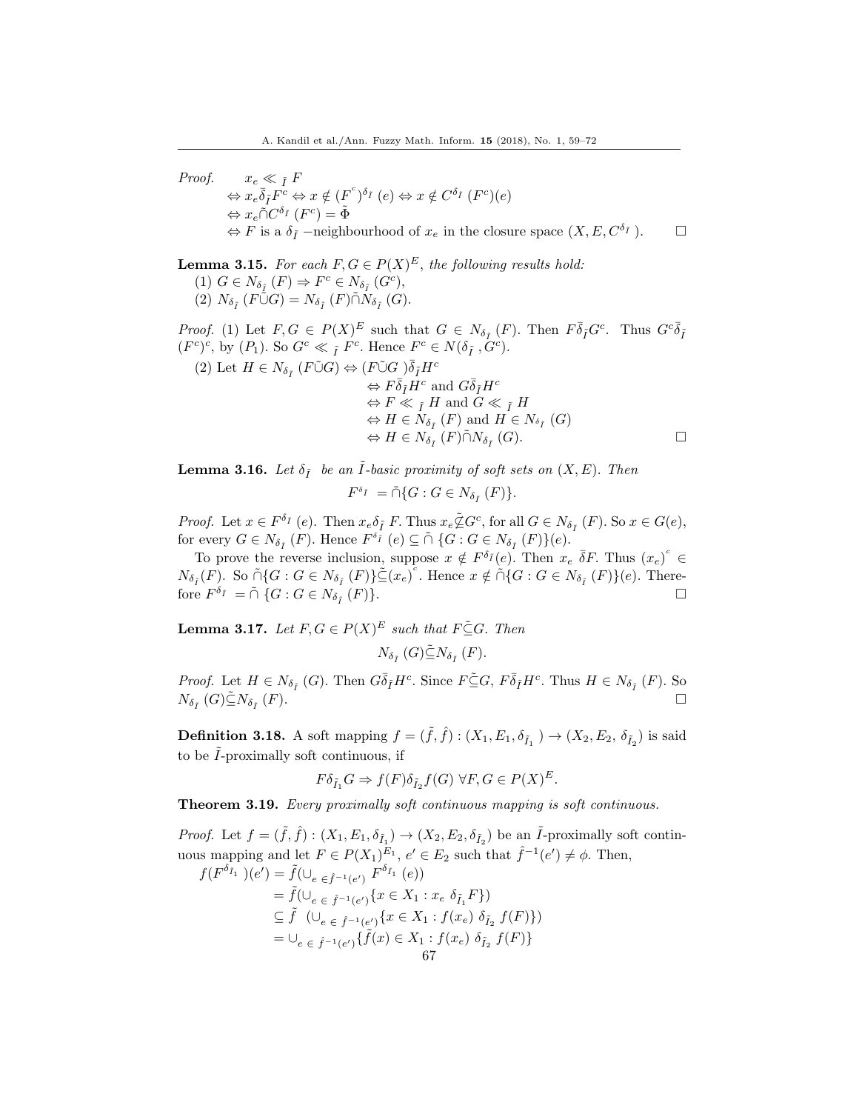Proof.  $x_e \ll \tilde{I}$  F  $\Leftrightarrow x_e\overline{\delta}_{\tilde{I}}F^c \Leftrightarrow x \notin (F^c)^{\delta_{\tilde{I}}}(e) \Leftrightarrow x \notin C^{\delta_{\tilde{I}}}(F^c)(e)$  $\Leftrightarrow x_e \tilde{\cap} C^{\delta_{\tilde{I}}}(F^c) = \tilde{\Phi}$  $\Leftrightarrow$  F is a  $\delta_{\tilde{I}}$  –neighbourhood of  $x_e$  in the closure space  $(X, E, C^{\delta_{\tilde{I}}})$ .

**Lemma 3.15.** For each  $F, G \in P(X)^E$ , the following results hold: (1)  $G \in N_{\delta_{\tilde{I}}}(F) \Rightarrow F^c \in N_{\delta_{\tilde{I}}}(G^c),$ (2)  $N_{\delta_{\tilde{I}}}(F\tilde{\cup}G) = N_{\delta_{\tilde{I}}}(F)\tilde{\cap}N_{\delta_{\tilde{I}}}(G).$ 

*Proof.* (1) Let  $F, G \in P(X)^E$  such that  $G \in N_{\delta_{\tilde{I}}}(F)$ . Then  $F\overline{\delta}_{\tilde{I}}G^c$ . Thus  $G^c\overline{\delta}_{\tilde{I}}$  $(F^c)^c$ , by  $(P_1)$ . So  $G^c \ll \tilde{I}$   $F^c$ . Hence  $F^c \in N(\delta_{\tilde{I}}, \tilde{G}^c)$ .

(2) Let 
$$
H \in N_{\delta_I} (F \tilde{\cup} G) \Leftrightarrow (F \tilde{\cup} G) \overline{\delta}_I H^c
$$
  
\n $\Leftrightarrow F \overline{\delta}_I H^c$  and  $G \overline{\delta}_I H^c$   
\n $\Leftrightarrow F \ll_I H$  and  $G \ll_I H$   
\n $\Leftrightarrow H \in N_{\delta_I} (F)$  and  $H \in N_{\delta_I} (G)$   
\n $\Leftrightarrow H \in N_{\delta_I} (F) \tilde{\cap} N_{\delta_I} (G)$ .

**Lemma 3.16.** Let  $\delta_{\tilde{I}}$  be an  $\tilde{I}$ -basic proximity of soft sets on  $(X, E)$ . Then

$$
F^{\delta_{\tilde{I}}} = \tilde{\cap} \{ G : G \in N_{\delta_{\tilde{I}}}(F) \}.
$$

*Proof.* Let  $x \in F^{\delta_{\tilde{I}}}$  (e). Then  $x_e \delta_{\tilde{I}} F$ . Thus  $x_e \tilde{\&} G^c$ , for all  $G \in N_{\delta_{\tilde{I}}}$  (*F*). So  $x \in G(e)$ , for every  $G \in N_{\delta_{\tilde{I}}}(F)$ . Hence  $F^{\delta_{\tilde{I}}}(e) \subseteq \tilde{\cap} \{G : G \in N_{\delta_{\tilde{I}}}(F)\}(e)$ .

To prove the reverse inclusion, suppose  $x \notin F^{\delta_{\bar{I}}}(e)$ . Then  $x_e \overline{\delta}F$ . Thus  $(x_e)^c$  $N_{\delta_{\tilde{I}}}(F)$ . So  $\tilde{\cap} \{G : G \in N_{\delta_{\tilde{I}}}(F)\} \subseteq (x_e)^c$ . Hence  $x \notin \tilde{\cap} \{G : G \in N_{\delta_{\tilde{I}}}(F)\}(e)$ . Therefore  $F^{\delta_{\tilde{I}}} = \tilde{\cap} \{ G : G \in N_{\delta_{\tilde{I}}} \}$  $(F)$ .

**Lemma 3.17.** Let  $F, G \in P(X)^E$  such that  $F \subseteq G$ . Then

 $N_{\delta_{\tilde{I}}}\left(G\right)\tilde{\subseteq}N_{\delta_{\tilde{I}}}\left(F\right).$ 

*Proof.* Let  $H \in N_{\delta_{\tilde{I}}}$  (G). Then  $G\overline{\delta}_{\tilde{I}}H^c$ . Since  $F\tilde{\subseteq}G$ ,  $F\overline{\delta}_{\tilde{I}}H^c$ . Thus  $H \in N_{\delta_{\tilde{I}}}(F)$ . So  $N_{\delta_{\tilde I}}\left(G\right)\tilde{\subseteq}N_{\delta_{\tilde I}}$  $(F).$ 

**Definition 3.18.** A soft mapping  $f = (\tilde{f}, \hat{f}) : (X_1, E_1, \delta_{\tilde{I}_1}) \to (X_2, E_2, \delta_{\tilde{I}_2})$  is said to be  $\tilde{I}$ -proximally soft continuous, if

$$
F\delta_{\tilde{I}_1}G \Rightarrow f(F)\delta_{\tilde{I}_2}f(G) \,\forall F, G \in P(X)^E.
$$

Theorem 3.19. Every proximally soft continuous mapping is soft continuous.

*Proof.* Let  $f = (\tilde{f}, \hat{f}) : (X_1, E_1, \delta_{\tilde{I}_1}) \to (X_2, E_2, \delta_{\tilde{I}_2})$  be an  $\tilde{I}$ -proximally soft continuous mapping and let  $F \in P(X_1)^{E_1}$ ,  $e' \in E_2$  such that  $\hat{f}^{-1}(e') \neq \phi$ . Then,  $f(F^{\delta_{\tilde{I}_1}})(e') = \tilde{f}(\cup_{e \in \hat{f}^{-1}(e')} F^{\delta_{\tilde{I}_1}}(e))$ 

$$
\begin{aligned}\n &\quad \mathcal{F}(C) = \int_{C}^{C} \mathcal{F}(C) \, d\mathcal{F}(C) \, d\mathcal{F}(C) \\
&= \tilde{f}(\bigcup_{e \in \hat{f}^{-1}(e')} \{x \in X_1 : x_e \, \delta_{\tilde{I}_1} F\}) \\
&\subseteq \tilde{f} \quad (\bigcup_{e \in \hat{f}^{-1}(e')} \{x \in X_1 : f(x_e) \, \delta_{\tilde{I}_2} \, f(F)\}) \\
&= \bigcup_{e \in \hat{f}^{-1}(e')} \{\tilde{f}(x) \in X_1 : f(x_e) \, \delta_{\tilde{I}_2} \, f(F)\} \\
&\qquad \qquad 67\n \end{aligned}
$$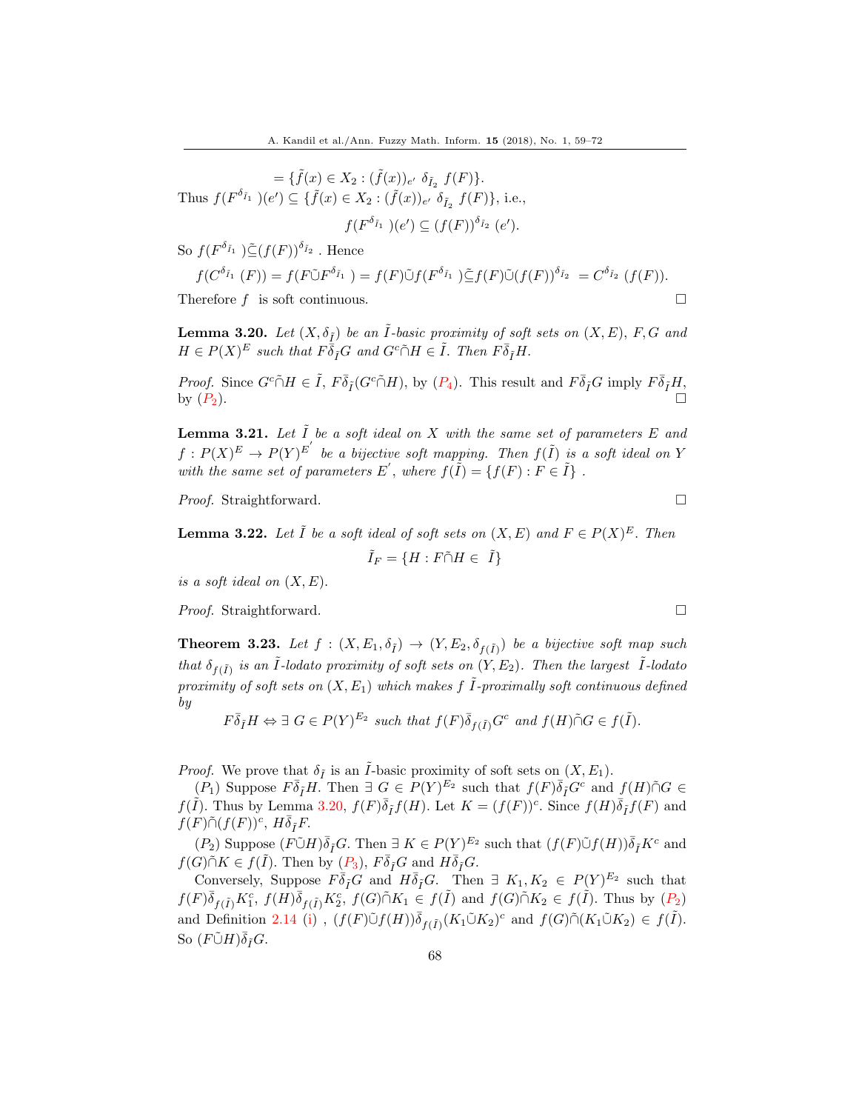$$
= \{\tilde{f}(x) \in X_2 : (\tilde{f}(x))_{e'} \delta_{\tilde{I}_2} f(F)\}.
$$
  
Thus  $f(F^{\delta_{\tilde{I}_1}})(e') \subseteq \{\tilde{f}(x) \in X_2 : (\tilde{f}(x))_{e'} \delta_{\tilde{I}_2} f(F)\}, \text{ i.e.,}$   
 $f(F^{\delta_{\tilde{I}_1}})(e') \subseteq (f(F))^{\delta_{\tilde{I}_2}}(e').$ 

So  $f(F^{\delta_{\tilde{I}_1}})\tilde{\subseteq}(f(F))^{\delta_{\tilde{I}_2}}$ . Hence

$$
f(C^{\delta_{\tilde{I}_1}}(F)) = f(F\tilde{\cup}F^{\delta_{\tilde{I}_1}}) = f(F)\tilde{\cup}f(F^{\delta_{\tilde{I}_1}})\tilde{\subseteq}f(F)\tilde{\cup}(f(F))^{\delta_{\tilde{I}_2}} = C^{\delta_{\tilde{I}_2}}(f(F)).
$$
  
Therefore  $f$  is soft continuous.

**Lemma 3.20.** Let  $(X, \delta_{\tilde{t}})$  be an  $\tilde{I}$ -basic proximity of soft sets on  $(X, E)$ , F, G and  $H \in P(X)^E$  such that  $F \bar{\delta}_{\tilde{I}} G$  and  $G^c \tilde{\cap} H \in \tilde{I}$ . Then  $F \bar{\delta}_{\tilde{I}} H$ .

*Proof.* Since  $G^c \tilde{\cap} H \in \tilde{I}$ ,  $F \bar{\delta}_I (G^c \tilde{\cap} H)$ , by  $(P_4)$ . This result and  $F \bar{\delta}_I G$  imply  $F \bar{\delta}_I H$ , by  $(P_2)$ .

**Lemma 3.21.** Let  $\tilde{I}$  be a soft ideal on  $X$  with the same set of parameters  $E$  and  $f: P(X)^E \to P(Y)^{E'}$  be a bijective soft mapping. Then  $f(\tilde{I})$  is a soft ideal on Y with the same set of parameters E', where  $f(\tilde{I}) = \{f(F) : F \in \tilde{I}\}\$ .

*Proof.* Straightforward. □

**Lemma 3.22.** Let  $\tilde{I}$  be a soft ideal of soft sets on  $(X, E)$  and  $F \in P(X)^E$ . Then  $\tilde{I}_F = \{H : F \tilde{\cap} H \in \tilde{I}\}\$ 

is a soft ideal on  $(X, E)$ .

*Proof.* Straightforward. □

**Theorem 3.23.** Let  $f : (X, E_1, \delta_{\tilde{I}}) \to (Y, E_2, \delta_{f(\tilde{I})})$  be a bijective soft map such that  $\delta_{f(\tilde{I})}$  is an  $\tilde{I}$ -lodato proximity of soft sets on  $(Y, E_2)$ . Then the largest  $\tilde{I}$ -lodato proximity of soft sets on  $(X, E_1)$  which makes f  $\tilde{I}$ -proximally soft continuous defined by

$$
F\overline{\delta}_{\tilde{I}}H \Leftrightarrow \exists G \in P(Y)^{E_2} \text{ such that } f(F)\overline{\delta}_{f(\tilde{I})}G^c \text{ and } f(H)\tilde{\cap}G \in f(\tilde{I}).
$$

*Proof.* We prove that  $\delta_{\tilde{I}}$  is an  $\tilde{I}$ -basic proximity of soft sets on  $(X, E_1)$ .

 $(P_1)$  Suppose  $F\overline{\delta}_f H$ . Then  $\exists G \in P(Y)^{E_2}$  such that  $f(F)\overline{\delta}_f G^c$  and  $f(H)\overline{\cap}G \in$  $f(\tilde{I})$ . Thus by Lemma 3.20,  $f(F)\overline{\delta}_{\tilde{I}}f(H)$ . Let  $K = (f(F))^c$ . Since  $f(H)\overline{\delta}_{\tilde{I}}f(F)$  and  $f(F)\tilde{\cap}(f(F))^c$ ,  $H\overline{\delta}_{\tilde{I}}F$ .

 $(P_2)$  Suppose  $(F\tilde{\cup} H)\overline{\delta}_f G$ . Then  $\exists K \in P(Y)^{E_2}$  such that  $(f(F)\tilde{\cup} f(H))\overline{\delta}_f K^c$  and  $f(G)\tilde{\cap}K \in f(\tilde{I})$ . Then by  $(P_3)$ ,  $F\bar{\delta}_fG$  and  $H\bar{\delta}_fG$ .

Conversely, Suppose  $F\overline{\delta}_f G$  and  $H\overline{\delta}_f G$ . Then  $\exists K_1, K_2 \in P(Y)^{E_2}$  such that  $f(F)\overline{\delta}_{f(\tilde{I})}K_1^c$ ,  $f(H)\overline{\delta}_{f(\tilde{I})}K_2^c$ ,  $f(G)\tilde{\cap}K_1 \in f(\tilde{I})$  and  $f(G)\tilde{\cap}K_2 \in f(\tilde{I})$ . Thus by  $(P_2)$ and Definition 2.14 (i),  $(f(F)\tilde{\cup}f(H))\overline{\delta}_{f(\tilde{I})}(K_1\tilde{\cup}K_2)^c$  and  $f(G)\tilde{\cap}(K_1\tilde{\cup}K_2) \in f(\tilde{I})$ . So  $(F\tilde{\cup} H)\overline{\delta}_{\tilde{I}}G$ .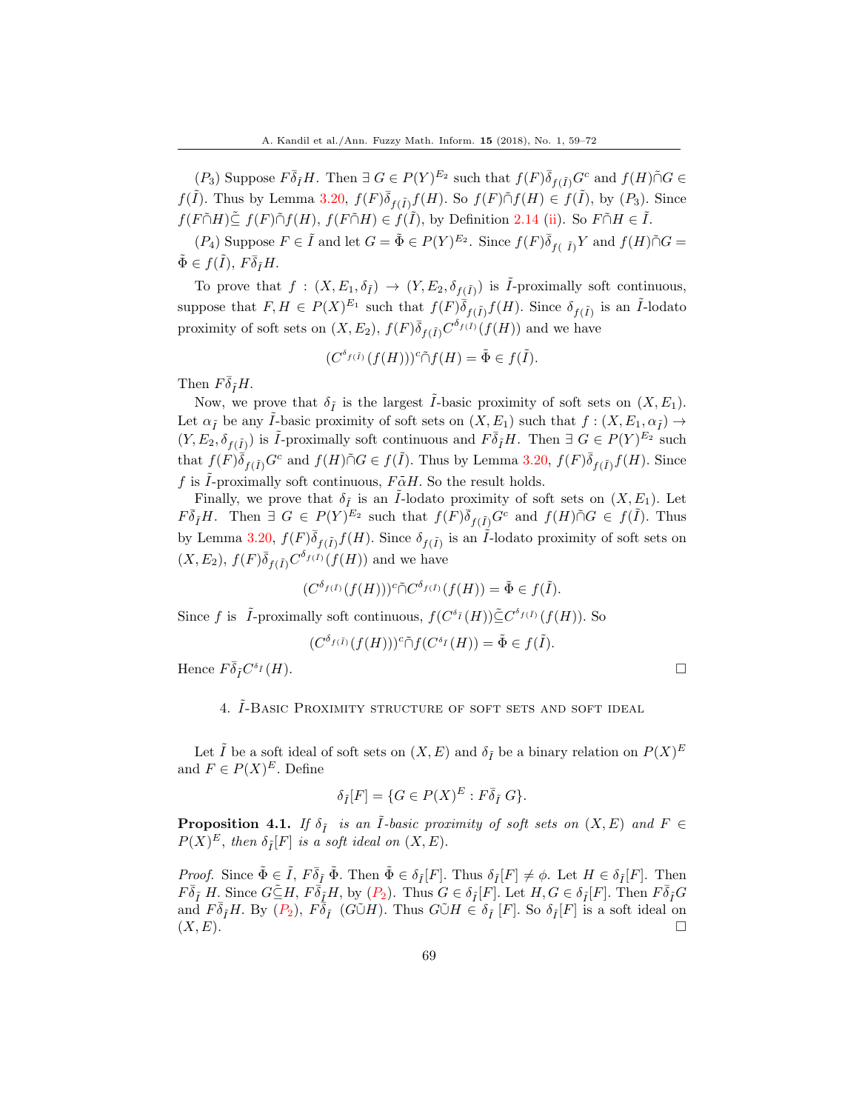$(P_3)$  Suppose  $F\overline{\delta}_{\tilde{I}}H$ . Then  $\exists G \in P(Y)^{E_2}$  such that  $f(F)\overline{\delta}_{f(\tilde{I})}G^c$  and  $f(H)\cap G \in$  $f(\tilde{I})$ . Thus by Lemma 3.20,  $f(F)\overline{\delta}_{f(\tilde{I})}f(H)$ . So  $f(F)\tilde{\cap}f(H) \in f(\tilde{I})$ , by  $(P_3)$ . Since  $f(F\tilde{\cap}H)\tilde{\subseteq} f(F)\tilde{\cap}f(H), f(F\tilde{\cap}H) \in f(\tilde{I}),$  by Definition 2.14 (ii). So  $F\tilde{\cap}H \in \tilde{I}.$ 

 $(P_4)$  Suppose  $F \in \tilde{I}$  and let  $G = \tilde{\Phi} \in P(Y)^{E_2}$ . Since  $f(F)\overline{\delta}_{f(-\tilde{I})}Y$  and  $f(H)\tilde{\cap}G =$  $\tilde{\Phi} \in f(\tilde{I}),\ F\bar{\delta}_{\tilde{I}}H.$ 

To prove that  $f: (X, E_1, \delta_{\tilde{I}}) \to (Y, E_2, \delta_{f(\tilde{I})})$  is  $\tilde{I}$ -proximally soft continuous, suppose that  $F, H \in P(X)^{E_1}$  such that  $f(F)\overline{\delta}_{f(\tilde{I})}f(H)$ . Since  $\delta_{f(\tilde{I})}$  is an  $\tilde{I}$ -lodato proximity of soft sets on  $(X, E_2)$ ,  $f(F)\overline{\delta}_{f(\tilde{I})}C^{\delta_{f(\tilde{I})}}(f(H))$  and we have

$$
(C^{\delta_{f(\tilde{I})}}(f(H)))^c \tilde{\cap} f(H) = \tilde{\Phi} \in f(\tilde{I}).
$$

Then  $F\overline{\delta}_{\tilde{I}}H$ .

Now, we prove that  $\delta_{\tilde{I}}$  is the largest  $\tilde{I}$ -basic proximity of soft sets on  $(X, E_1)$ . Let  $\alpha_{\tilde{I}}$  be any  $\tilde{I}$ -basic proximity of soft sets on  $(X, E_1)$  such that  $f : (X, E_1, \alpha_{\tilde{I}}) \rightarrow$  $(Y, E_2, \delta_{f(\tilde{I})})$  is  $\tilde{I}$ -proximally soft continuous and  $F \overline{\delta}_{\tilde{I}} H$ . Then  $\exists G \in P(Y)^{E_2}$  such that  $f(F)\overline{\delta}_{f(\tilde{I})}G^c$  and  $f(H)\tilde{\cap}G \in f(\tilde{I})$ . Thus by Lemma 3.20,  $f(F)\overline{\delta}_{f(\tilde{I})}f(H)$ . Since f is  $\tilde{I}$ -proximally soft continuous,  $F\bar{\alpha}H$ . So the result holds.

Finally, we prove that  $\delta_{\tilde{I}}$  is an *I*-lodato proximity of soft sets on  $(X, E_1)$ . Let  $F\overline{\delta}_{\overline{I}}H$ . Then  $\exists G \in P(Y)^{E_2}$  such that  $f(F)\overline{\delta}_{f(\overline{I})}G^c$  and  $f(H)\cap G \in f(\overline{I})$ . Thus by Lemma 3.20,  $f(F)\overline{\delta}_{f(\tilde{I})}f(H)$ . Since  $\delta_{f(\tilde{I})}$  is an  $\tilde{I}$ -lodato proximity of soft sets on  $(X, E_2)$ ,  $f(F)\overline{\delta}_{f(\tilde{I})}C^{\delta_{f(\tilde{I})}}(f(H))$  and we have

$$
(C^{\delta_{f(\bar{I})}}(f(H)))^c \tilde{\cap} C^{\delta_{f(\bar{I})}}(f(H)) = \tilde{\Phi} \in f(\tilde{I}).
$$

Since f is  $\tilde{I}$ -proximally soft continuous,  $f(C^{\delta_{\tilde{I}}}(H))\tilde{\subseteq} C^{\delta_{f(\tilde{I})}}(f(H))$ . So

$$
(C^{\delta_{f(\tilde{I})}}(f(H)))^c \tilde{\cap} f(C^{\delta_{\tilde{I}}}(H)) = \tilde{\Phi} \in f(\tilde{I}).
$$

Hence  $F\bar{\delta}_{\tilde{I}}C^{\delta}$  $I(H)$ .

#### 4.  $I$ -Basic Proximity structure of soft sets and soft ideal

Let  $\tilde{I}$  be a soft ideal of soft sets on  $(X, E)$  and  $\delta_{\tilde{I}}$  be a binary relation on  $P(X)^E$ and  $F \in P(X)^E$ . Define

$$
\delta_{\tilde{I}}[F] = \{ G \in P(X)^E : F \bar{\delta}_{\tilde{I}} G \}.
$$

**Proposition 4.1.** If  $\delta_{\tilde{I}}$  is an  $\tilde{I}$ -basic proximity of soft sets on  $(X, E)$  and  $F \in$  $P(X)^E$ , then  $\delta_{\tilde{I}}[F]$  is a soft ideal on  $(X, E)$ .

*Proof.* Since  $\tilde{\Phi} \in \tilde{I}$ ,  $F \overline{\delta}_{\tilde{I}} \tilde{\Phi}$ . Then  $\tilde{\Phi} \in \delta_{\tilde{I}}[F]$ . Thus  $\delta_{\tilde{I}}[F] \neq \phi$ . Let  $H \in \delta_{\tilde{I}}[F]$ . Then  $F\overline{\delta}_{\tilde{I}}H$ . Since  $G\widetilde{\subseteq}H$ ,  $F\overline{\delta}_{\tilde{I}}H$ , by  $(P_2)$ . Thus  $G \in \delta_{\tilde{I}}[F]$ . Let  $H, G \in \delta_{\tilde{I}}[F]$ . Then  $F\overline{\delta}_{\tilde{I}}G$ and  $F\bar{\delta}_I H$ . By  $(P_2)$ ,  $F\bar{\delta}_I$   $(G\tilde{\cup}H)$ . Thus  $G\tilde{\cup}H \in \delta_I$  [F]. So  $\delta_I[F]$  is a soft ideal on  $(X, E)$ .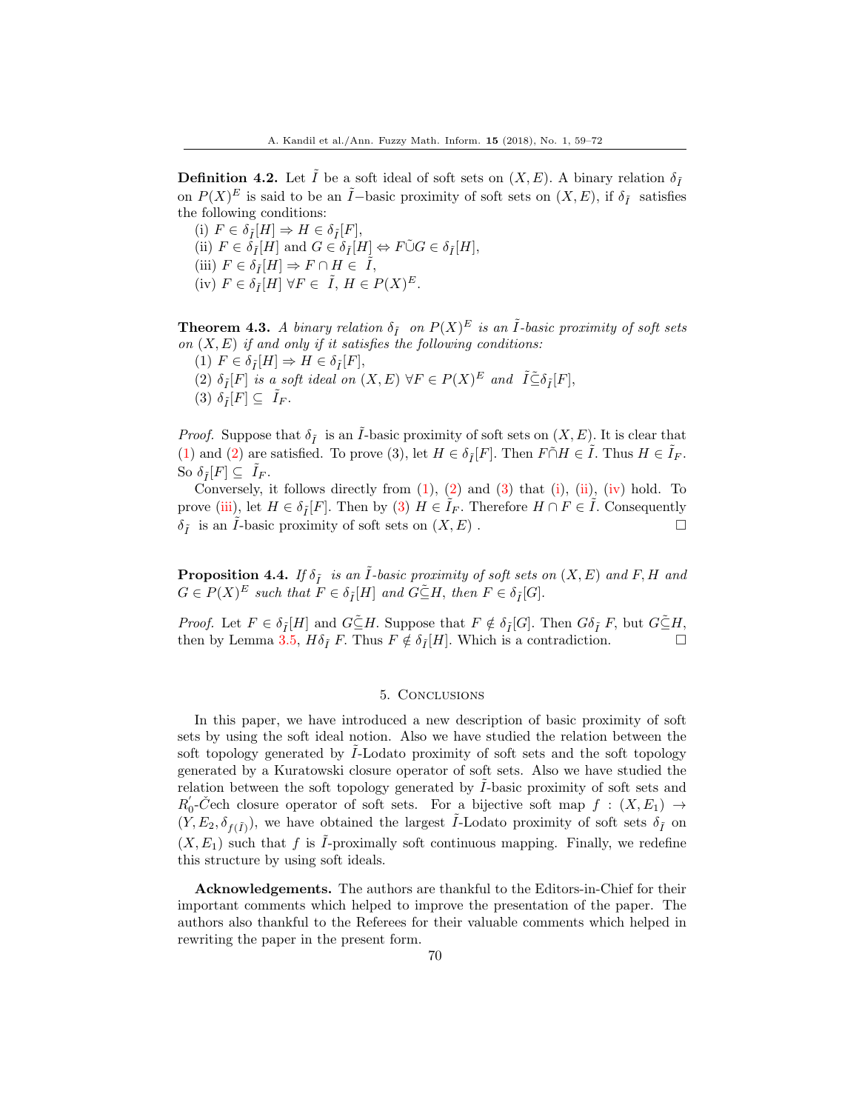**Definition 4.2.** Let  $\tilde{I}$  be a soft ideal of soft sets on  $(X, E)$ . A binary relation  $\delta_{\tilde{I}}$ on  $P(X)^E$  is said to be an  $\tilde{I}-$ basic proximity of soft sets on  $(X, E)$ , if  $\delta_{\tilde{I}}$  satisfies the following conditions:

(i)  $F \in \delta_{\tilde{I}}[H] \Rightarrow H \in \delta_{\tilde{I}}[F],$ (ii)  $F \in \tilde{\delta}_{\tilde{I}}[H]$  and  $G \in \tilde{\delta}_{\tilde{I}}[H] \Leftrightarrow F \tilde{\cup} G \in \delta_{\tilde{I}}[H],$ (iii)  $F \in \delta_{\tilde{I}}[H] \Rightarrow F \cap H \in \tilde{I}$ , (iv)  $F \in \delta_{\tilde{I}}[H] \,\forall F \in \tilde{I}, H \in P(X)^E$ .

**Theorem 4.3.** A binary relation  $\delta_{\tilde{I}}$  on  $P(X)^E$  is an  $\tilde{I}$ -basic proximity of soft sets on  $(X, E)$  if and only if it satisfies the following conditions:

(1)  $F \in \delta_{\tilde{I}}[H] \Rightarrow H \in \delta_{\tilde{I}}[F],$ (2)  $\delta_{\tilde{I}}[F]$  is a soft ideal on  $(X, E)$   $\forall F \in P(X)^E$  and  $\tilde{I} \subseteq \delta_{\tilde{I}}[F]$ , (3)  $\delta_{\tilde{I}}[F] \subseteq I_F$ .

*Proof.* Suppose that  $\delta_{\tilde{I}}$  is an *I*-basic proximity of soft sets on  $(X, E)$ . It is clear that (1) and (2) are satisfied. To prove (3), let  $H \in \delta_{\tilde{I}}[F]$ . Then  $F \cap H \in \tilde{I}$ . Thus  $H \in \tilde{I}_F$ . So  $\delta_{\tilde{I}}[F] \subseteq I_F$ .

Conversely, it follows directly from  $(1)$ ,  $(2)$  and  $(3)$  that  $(i)$ ,  $(ii)$ ,  $(iv)$  hold. To prove (iii), let  $H \in \delta_{\tilde{I}}[F]$ . Then by (3)  $H \in I_F$ . Therefore  $H \cap F \in I$ . Consequently  $\delta_{\tilde{I}}$  is an *I*-basic proximity of soft sets on  $(X, E)$ .

**Proposition 4.4.** If  $\delta_{\tilde{I}}$  is an  $\tilde{I}$ -basic proximity of soft sets on  $(X, E)$  and F, H and  $G \in P(X)^E$  such that  $F \in \delta_{\tilde{I}}[H]$  and  $G \tilde{\subseteq} H$ , then  $F \in \delta_{\tilde{I}}[G]$ .

*Proof.* Let  $F \in \delta_{\tilde{I}}[H]$  and  $G \subseteq H$ . Suppose that  $F \notin \delta_{\tilde{I}}[G]$ . Then  $G \delta_{\tilde{I}} F$ , but  $G \subseteq H$ , then by Lemma 3.5,  $H\delta_{\tilde{I}} F$ . Thus  $F \notin \delta_{\tilde{I}}[H]$ . Which is a contradiction.

#### 5. Conclusions

In this paper, we have introduced a new description of basic proximity of soft sets by using the soft ideal notion. Also we have studied the relation between the soft topology generated by *I*-Lodato proximity of soft sets and the soft topology generated by a Kuratowski closure operator of soft sets. Also we have studied the relation between the soft topology generated by  $I$ -basic proximity of soft sets and  $R'_0$ -Čech closure operator of soft sets. For a bijective soft map  $f : (X, E_1) \rightarrow$  $(Y, E_2, \delta_{f(\tilde{I})})$ , we have obtained the largest  $\tilde{I}$ -Lodato proximity of soft sets  $\delta_{\tilde{I}}$  on  $(X, E_1)$  such that f is I-proximally soft continuous mapping. Finally, we redefine this structure by using soft ideals.

Acknowledgements. The authors are thankful to the Editors-in-Chief for their important comments which helped to improve the presentation of the paper. The authors also thankful to the Referees for their valuable comments which helped in rewriting the paper in the present form.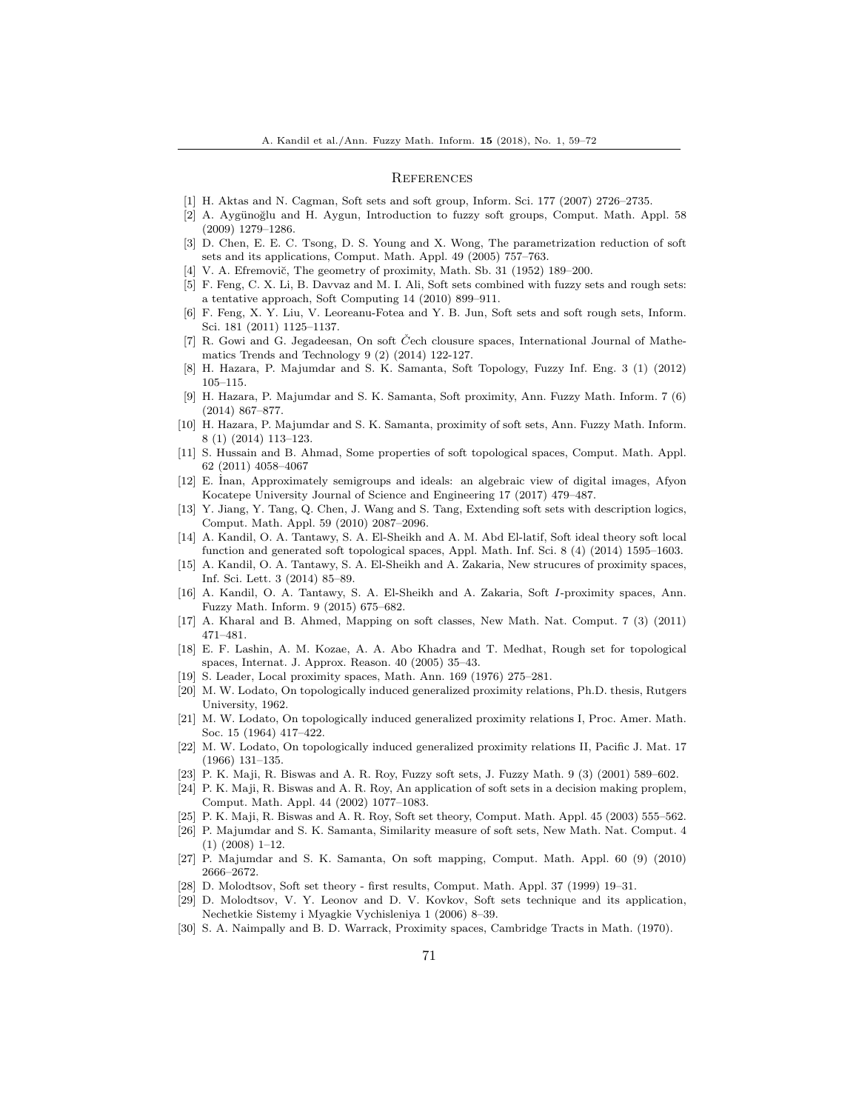#### **REFERENCES**

- <span id="page-13-10"></span>[1] H. Aktas and N. Cagman, Soft sets and soft group, Inform. Sci. 177 (2007) 2726–2735.
- <span id="page-13-17"></span>[2] A. Aygünoğlu and H. Aygun, Introduction to fuzzy soft groups, Comput. Math. Appl. 58 (2009) 1279–1286.
- <span id="page-13-3"></span>[3] D. Chen, E. E. C. Tsong, D. S. Young and X. Wong, The parametrization reduction of soft sets and its applications, Comput. Math. Appl. 49 (2005) 757–763.
- <span id="page-13-19"></span>[4] V. A. Efremovič, The geometry of proximity, Math. Sb. 31 (1952) 189–200.
- <span id="page-13-4"></span>[5] F. Feng, C. X. Li, B. Davvaz and M. I. Ali, Soft sets combined with fuzzy sets and rough sets: a tentative approach, Soft Computing 14 (2010) 899–911.
- <span id="page-13-5"></span>[6] F. Feng, X. Y. Liu, V. Leoreanu-Fotea and Y. B. Jun, Soft sets and soft rough sets, Inform. Sci. 181 (2011) 1125–1137.
- <span id="page-13-6"></span>[7] R. Gowi and G. Jegadeesan, On soft Čech clousure spaces, International Journal of Mathematics Trends and Technology 9 (2) (2014) 122-127.
- <span id="page-13-14"></span>[8] H. Hazara, P. Majumdar and S. K. Samanta, Soft Topology, Fuzzy Inf. Eng. 3 (1) (2012) 105–115.
- <span id="page-13-25"></span>[9] H. Hazara, P. Majumdar and S. K. Samanta, Soft proximity, Ann. Fuzzy Math. Inform. 7 (6) (2014) 867–877.
- <span id="page-13-26"></span>[10] H. Hazara, P. Majumdar and S. K. Samanta, proximity of soft sets, Ann. Fuzzy Math. Inform. 8 (1) (2014) 113–123.
- <span id="page-13-15"></span>[11] S. Hussain and B. Ahmad, Some properties of soft topological spaces, Comput. Math. Appl. 62 (2011) 4058–4067
- <span id="page-13-11"></span>[12] E. Inan, Approximately semigroups and ideals: an algebraic view of digital images, Afyon Kocatepe University Journal of Science and Engineering 17 (2017) 479–487.
- <span id="page-13-7"></span>[13] Y. Jiang, Y. Tang, Q. Chen, J. Wang and S. Tang, Extending soft sets with description logics, Comput. Math. Appl. 59 (2010) 2087–2096.
- <span id="page-13-18"></span>[14] A. Kandil, O. A. Tantawy, S. A. El-Sheikh and A. M. Abd El-latif, Soft ideal theory soft local function and generated soft topological spaces, Appl. Math. Inf. Sci. 8 (4) (2014) 1595–1603.
- <span id="page-13-27"></span>[15] A. Kandil, O. A. Tantawy, S. A. El-Sheikh and A. Zakaria, New strucures of proximity spaces, Inf. Sci. Lett. 3 (2014) 85–89.
- <span id="page-13-28"></span>[16] A. Kandil, O. A. Tantawy, S. A. El-Sheikh and A. Zakaria, Soft I-proximity spaces, Ann. Fuzzy Math. Inform. 9 (2015) 675–682.
- <span id="page-13-12"></span>[17] A. Kharal and B. Ahmed, Mapping on soft classes, New Math. Nat. Comput. 7 (3) (2011) 471–481.
- <span id="page-13-16"></span>[18] E. F. Lashin, A. M. Kozae, A. A. Abo Khadra and T. Medhat, Rough set for topological spaces, Internat. J. Approx. Reason. 40 (2005) 35–43.
- <span id="page-13-20"></span>[19] S. Leader, Local proximity spaces, Math. Ann. 169 (1976) 275–281.
- <span id="page-13-21"></span>[20] M. W. Lodato, On topologically induced generalized proximity relations, Ph.D. thesis, Rutgers University, 1962.
- <span id="page-13-22"></span>[21] M. W. Lodato, On topologically induced generalized proximity relations I, Proc. Amer. Math. Soc. 15 (1964) 417–422.
- <span id="page-13-23"></span>[22] M. W. Lodato, On topologically induced generalized proximity relations II, Pacific J. Mat. 17 (1966) 131–135.
- <span id="page-13-8"></span>[23] P. K. Maji, R. Biswas and A. R. Roy, Fuzzy soft sets, J. Fuzzy Math. 9 (3) (2001) 589–602.
- <span id="page-13-2"></span>[24] P. K. Maji, R. Biswas and A. R. Roy, An application of soft sets in a decision making proplem, Comput. Math. Appl. 44 (2002) 1077–1083.
- <span id="page-13-9"></span>[25] P. K. Maji, R. Biswas and A. R. Roy, Soft set theory, Comput. Math. Appl. 45 (2003) 555–562.
- <span id="page-13-29"></span>[26] P. Majumdar and S. K. Samanta, Similarity measure of soft sets, New Math. Nat. Comput. 4 (1) (2008) 1–12.
- <span id="page-13-13"></span>[27] P. Majumdar and S. K. Samanta, On soft mapping, Comput. Math. Appl. 60 (9) (2010) 2666–2672.
- <span id="page-13-0"></span>[28] D. Molodtsov, Soft set theory - first results, Comput. Math. Appl. 37 (1999) 19–31.
- <span id="page-13-1"></span>[29] D. Molodtsov, V. Y. Leonov and D. V. Kovkov, Soft sets technique and its application, Nechetkie Sistemy i Myagkie Vychisleniya 1 (2006) 8–39.
- <span id="page-13-24"></span>[30] S. A. Naimpally and B. D. Warrack, Proximity spaces, Cambridge Tracts in Math. (1970).